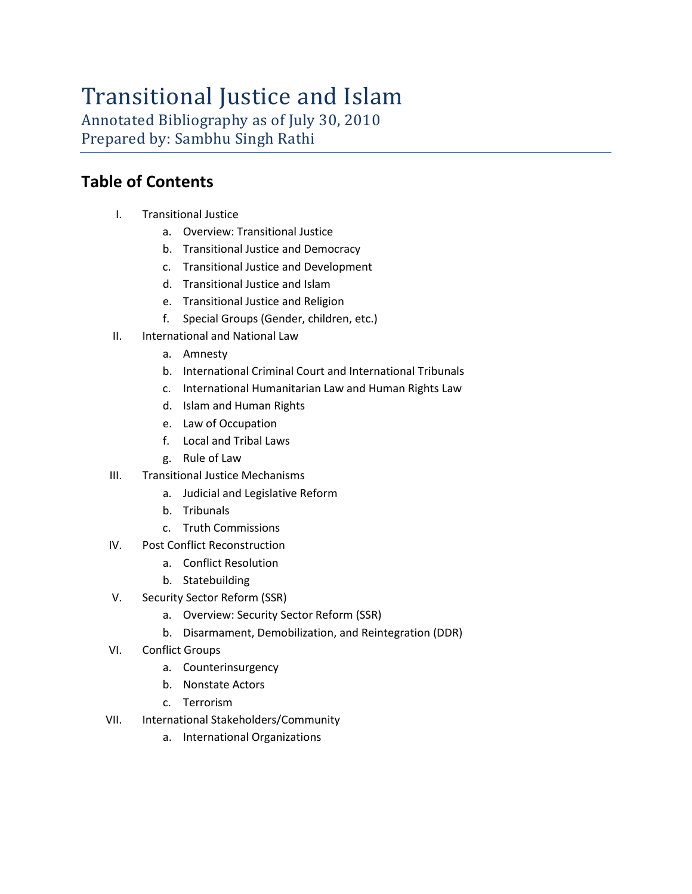# Transitional Justice and Islam Annotated Bibliography as of July 30, 2010

Prepared by: Sambhu Singh Rathi

## **Table of Contents**

- I. Transitional Justice
	- a. Overview: Transitional Justice
	- b. Transitional Justice and Democracy
	- c. Transitional Justice and Development
	- d. Transitional Justice and Islam
	- e. Transitional Justice and Religion
	- f. Special Groups (Gender, children, etc.)
- II. International and National Law
	- a. Amnesty
	- b. International Criminal Court and International Tribunals
	- c. International Humanitarian Law and Human Rights Law
	- d. Islam and Human Rights
	- e. Law of Occupation
	- f. Local and Tribal Laws
	- g. Rule of Law
- III. Transitional Justice Mechanisms
	- a. Judicial and Legislative Reform
	- b. Tribunals
	- c. Truth Commissions
- IV. Post Conflict Reconstruction
	- a. Conflict Resolution
	- b. Statebuilding
- V. Security Sector Reform (SSR)
	- a. Overview: Security Sector Reform (SSR)
	- b. Disarmament, Demobilization, and Reintegration (DDR)
- VI. Conflict Groups
	- a. Counterinsurgency
	- b. Nonstate Actors
	- c. Terrorism
- VII. International Stakeholders/Community
	- a. International Organizations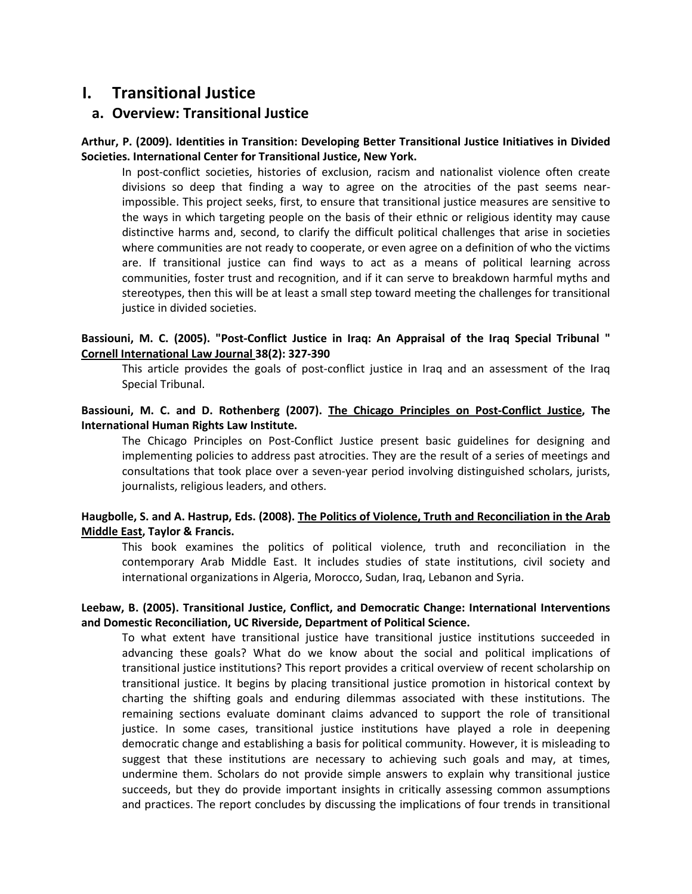## **I. Transitional Justice**

### **a. Overview: Transitional Justice**

#### **Arthur, P. (2009). Identities in Transition: Developing Better Transitional Justice Initiatives in Divided Societies. International Center for Transitional Justice, New York.**

In post-conflict societies, histories of exclusion, racism and nationalist violence often create divisions so deep that finding a way to agree on the atrocities of the past seems nearimpossible. This project seeks, first, to ensure that transitional justice measures are sensitive to the ways in which targeting people on the basis of their ethnic or religious identity may cause distinctive harms and, second, to clarify the difficult political challenges that arise in societies where communities are not ready to cooperate, or even agree on a definition of who the victims are. If transitional justice can find ways to act as a means of political learning across communities, foster trust and recognition, and if it can serve to breakdown harmful myths and stereotypes, then this will be at least a small step toward meeting the challenges for transitional justice in divided societies.

#### **Bassiouni, M. C. (2005). "Post-Conflict Justice in Iraq: An Appraisal of the Iraq Special Tribunal " Cornell International Law Journal 38(2): 327-390**

This article provides the goals of post-conflict justice in Iraq and an assessment of the Iraq Special Tribunal.

#### **Bassiouni, M. C. and D. Rothenberg (2007). The Chicago Principles on Post-Conflict Justice, The International Human Rights Law Institute.**

The Chicago Principles on Post-Conflict Justice present basic guidelines for designing and implementing policies to address past atrocities. They are the result of a series of meetings and consultations that took place over a seven-year period involving distinguished scholars, jurists, journalists, religious leaders, and others.

#### **Haugbolle, S. and A. Hastrup, Eds. (2008). The Politics of Violence, Truth and Reconciliation in the Arab Middle East, Taylor & Francis.**

This book examines the politics of political violence, truth and reconciliation in the contemporary Arab Middle East. It includes studies of state institutions, civil society and international organizations in Algeria, Morocco, Sudan, Iraq, Lebanon and Syria.

#### **Leebaw, B. (2005). Transitional Justice, Conflict, and Democratic Change: International Interventions and Domestic Reconciliation, UC Riverside, Department of Political Science.**

To what extent have transitional justice have transitional justice institutions succeeded in advancing these goals? What do we know about the social and political implications of transitional justice institutions? This report provides a critical overview of recent scholarship on transitional justice. It begins by placing transitional justice promotion in historical context by charting the shifting goals and enduring dilemmas associated with these institutions. The remaining sections evaluate dominant claims advanced to support the role of transitional justice. In some cases, transitional justice institutions have played a role in deepening democratic change and establishing a basis for political community. However, it is misleading to suggest that these institutions are necessary to achieving such goals and may, at times, undermine them. Scholars do not provide simple answers to explain why transitional justice succeeds, but they do provide important insights in critically assessing common assumptions and practices. The report concludes by discussing the implications of four trends in transitional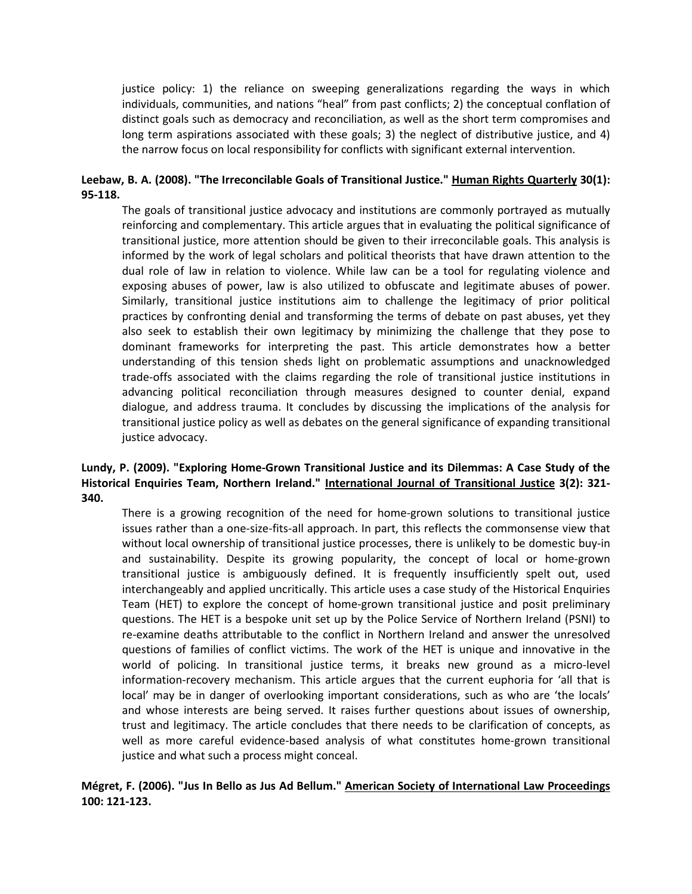justice policy: 1) the reliance on sweeping generalizations regarding the ways in which individuals, communities, and nations "heal" from past conflicts; 2) the conceptual conflation of distinct goals such as democracy and reconciliation, as well as the short term compromises and long term aspirations associated with these goals; 3) the neglect of distributive justice, and 4) the narrow focus on local responsibility for conflicts with significant external intervention.

#### **Leebaw, B. A. (2008). "The Irreconcilable Goals of Transitional Justice." Human Rights Quarterly 30(1): 95-118.**

The goals of transitional justice advocacy and institutions are commonly portrayed as mutually reinforcing and complementary. This article argues that in evaluating the political significance of transitional justice, more attention should be given to their irreconcilable goals. This analysis is informed by the work of legal scholars and political theorists that have drawn attention to the dual role of law in relation to violence. While law can be a tool for regulating violence and exposing abuses of power, law is also utilized to obfuscate and legitimate abuses of power. Similarly, transitional justice institutions aim to challenge the legitimacy of prior political practices by confronting denial and transforming the terms of debate on past abuses, yet they also seek to establish their own legitimacy by minimizing the challenge that they pose to dominant frameworks for interpreting the past. This article demonstrates how a better understanding of this tension sheds light on problematic assumptions and unacknowledged trade-offs associated with the claims regarding the role of transitional justice institutions in advancing political reconciliation through measures designed to counter denial, expand dialogue, and address trauma. It concludes by discussing the implications of the analysis for transitional justice policy as well as debates on the general significance of expanding transitional justice advocacy.

#### **Lundy, P. (2009). "Exploring Home-Grown Transitional Justice and its Dilemmas: A Case Study of the Historical Enquiries Team, Northern Ireland." International Journal of Transitional Justice 3(2): 321- 340.**

There is a growing recognition of the need for home-grown solutions to transitional justice issues rather than a one-size-fits-all approach. In part, this reflects the commonsense view that without local ownership of transitional justice processes, there is unlikely to be domestic buy-in and sustainability. Despite its growing popularity, the concept of local or home-grown transitional justice is ambiguously defined. It is frequently insufficiently spelt out, used interchangeably and applied uncritically. This article uses a case study of the Historical Enquiries Team (HET) to explore the concept of home-grown transitional justice and posit preliminary questions. The HET is a bespoke unit set up by the Police Service of Northern Ireland (PSNI) to re-examine deaths attributable to the conflict in Northern Ireland and answer the unresolved questions of families of conflict victims. The work of the HET is unique and innovative in the world of policing. In transitional justice terms, it breaks new ground as a micro-level information-recovery mechanism. This article argues that the current euphoria for 'all that is local' may be in danger of overlooking important considerations, such as who are 'the locals' and whose interests are being served. It raises further questions about issues of ownership, trust and legitimacy. The article concludes that there needs to be clarification of concepts, as well as more careful evidence-based analysis of what constitutes home-grown transitional justice and what such a process might conceal.

#### **Mégret, F. (2006). "Jus In Bello as Jus Ad Bellum." American Society of International Law Proceedings 100: 121-123.**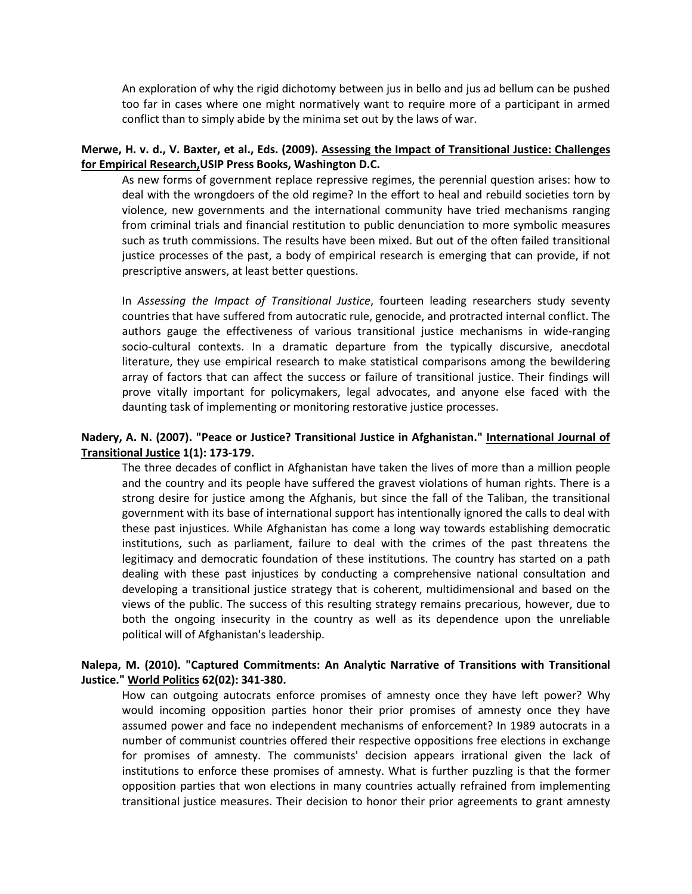An exploration of why the rigid dichotomy between jus in bello and jus ad bellum can be pushed too far in cases where one might normatively want to require more of a participant in armed conflict than to simply abide by the minima set out by the laws of war.

#### **Merwe, H. v. d., V. Baxter, et al., Eds. (2009). Assessing the Impact of Transitional Justice: Challenges for Empirical Research,USIP Press Books, Washington D.C.**

As new forms of government replace repressive regimes, the perennial question arises: how to deal with the wrongdoers of the old regime? In the effort to heal and rebuild societies torn by violence, new governments and the international community have tried mechanisms ranging from criminal trials and financial restitution to public denunciation to more symbolic measures such as truth commissions. The results have been mixed. But out of the often failed transitional justice processes of the past, a body of empirical research is emerging that can provide, if not prescriptive answers, at least better questions.

In *Assessing the Impact of Transitional Justice*, fourteen leading researchers study seventy countries that have suffered from autocratic rule, genocide, and protracted internal conflict. The authors gauge the effectiveness of various transitional justice mechanisms in wide-ranging socio-cultural contexts. In a dramatic departure from the typically discursive, anecdotal literature, they use empirical research to make statistical comparisons among the bewildering array of factors that can affect the success or failure of transitional justice. Their findings will prove vitally important for policymakers, legal advocates, and anyone else faced with the daunting task of implementing or monitoring restorative justice processes.

#### **Nadery, A. N. (2007). "Peace or Justice? Transitional Justice in Afghanistan." International Journal of Transitional Justice 1(1): 173-179.**

The three decades of conflict in Afghanistan have taken the lives of more than a million people and the country and its people have suffered the gravest violations of human rights. There is a strong desire for justice among the Afghanis, but since the fall of the Taliban, the transitional government with its base of international support has intentionally ignored the calls to deal with these past injustices. While Afghanistan has come a long way towards establishing democratic institutions, such as parliament, failure to deal with the crimes of the past threatens the legitimacy and democratic foundation of these institutions. The country has started on a path dealing with these past injustices by conducting a comprehensive national consultation and developing a transitional justice strategy that is coherent, multidimensional and based on the views of the public. The success of this resulting strategy remains precarious, however, due to both the ongoing insecurity in the country as well as its dependence upon the unreliable political will of Afghanistan's leadership.

#### **Nalepa, M. (2010). "Captured Commitments: An Analytic Narrative of Transitions with Transitional Justice." World Politics 62(02): 341-380.**

How can outgoing autocrats enforce promises of amnesty once they have left power? Why would incoming opposition parties honor their prior promises of amnesty once they have assumed power and face no independent mechanisms of enforcement? In 1989 autocrats in a number of communist countries offered their respective oppositions free elections in exchange for promises of amnesty. The communists' decision appears irrational given the lack of institutions to enforce these promises of amnesty. What is further puzzling is that the former opposition parties that won elections in many countries actually refrained from implementing transitional justice measures. Their decision to honor their prior agreements to grant amnesty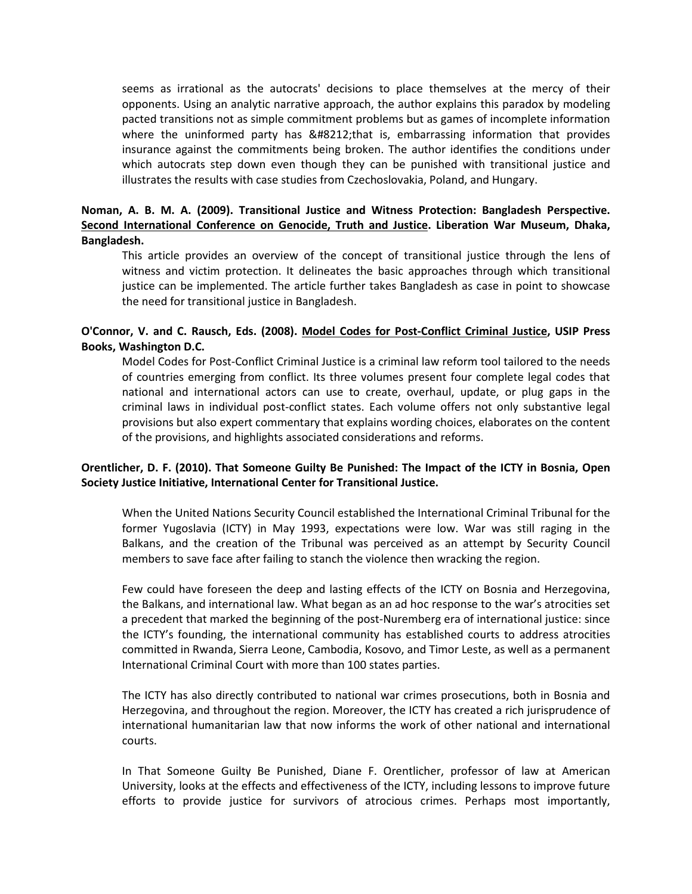seems as irrational as the autocrats' decisions to place themselves at the mercy of their opponents. Using an analytic narrative approach, the author explains this paradox by modeling pacted transitions not as simple commitment problems but as games of incomplete information where the uninformed party has  $&\#8212$ ; that is, embarrassing information that provides insurance against the commitments being broken. The author identifies the conditions under which autocrats step down even though they can be punished with transitional justice and illustrates the results with case studies from Czechoslovakia, Poland, and Hungary.

#### **Noman, A. B. M. A. (2009). Transitional Justice and Witness Protection: Bangladesh Perspective. Second International Conference on Genocide, Truth and Justice. Liberation War Museum, Dhaka, Bangladesh.**

This article provides an overview of the concept of transitional justice through the lens of witness and victim protection. It delineates the basic approaches through which transitional justice can be implemented. The article further takes Bangladesh as case in point to showcase the need for transitional justice in Bangladesh.

#### **O'Connor, V. and C. Rausch, Eds. (2008). Model Codes for Post-Conflict Criminal Justice, USIP Press Books, Washington D.C.**

Model Codes for Post-Conflict Criminal Justice is a criminal law reform tool tailored to the needs of countries emerging from conflict. Its three volumes present four complete legal codes that national and international actors can use to create, overhaul, update, or plug gaps in the criminal laws in individual post-conflict states. Each volume offers not only substantive legal provisions but also expert commentary that explains wording choices, elaborates on the content of the provisions, and highlights associated considerations and reforms.

#### **Orentlicher, D. F. (2010). That Someone Guilty Be Punished: The Impact of the ICTY in Bosnia, Open Society Justice Initiative, International Center for Transitional Justice.**

When the United Nations Security Council established the International Criminal Tribunal for the former Yugoslavia (ICTY) in May 1993, expectations were low. War was still raging in the Balkans, and the creation of the Tribunal was perceived as an attempt by Security Council members to save face after failing to stanch the violence then wracking the region.

Few could have foreseen the deep and lasting effects of the ICTY on Bosnia and Herzegovina, the Balkans, and international law. What began as an ad hoc response to the war's atrocities set a precedent that marked the beginning of the post-Nuremberg era of international justice: since the ICTY's founding, the international community has established courts to address atrocities committed in Rwanda, Sierra Leone, Cambodia, Kosovo, and Timor Leste, as well as a permanent International Criminal Court with more than 100 states parties.

The ICTY has also directly contributed to national war crimes prosecutions, both in Bosnia and Herzegovina, and throughout the region. Moreover, the ICTY has created a rich jurisprudence of international humanitarian law that now informs the work of other national and international courts.

In That Someone Guilty Be Punished, Diane F. Orentlicher, professor of law at American University, looks at the effects and effectiveness of the ICTY, including lessons to improve future efforts to provide justice for survivors of atrocious crimes. Perhaps most importantly,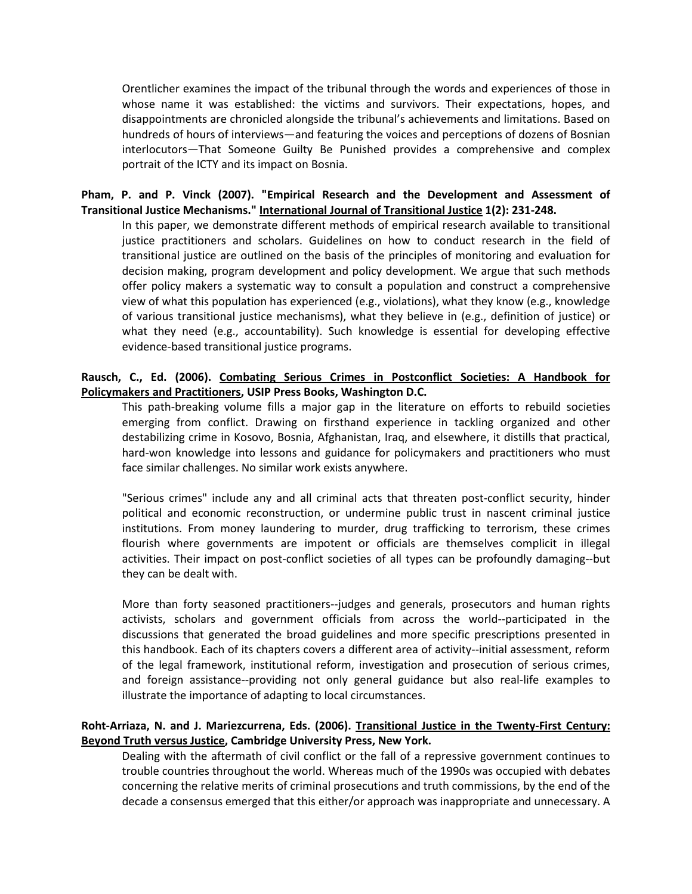Orentlicher examines the impact of the tribunal through the words and experiences of those in whose name it was established: the victims and survivors. Their expectations, hopes, and disappointments are chronicled alongside the tribunal's achievements and limitations. Based on hundreds of hours of interviews—and featuring the voices and perceptions of dozens of Bosnian interlocutors—That Someone Guilty Be Punished provides a comprehensive and complex portrait of the ICTY and its impact on Bosnia.

#### **Pham, P. and P. Vinck (2007). "Empirical Research and the Development and Assessment of Transitional Justice Mechanisms." International Journal of Transitional Justice 1(2): 231-248.**

In this paper, we demonstrate different methods of empirical research available to transitional justice practitioners and scholars. Guidelines on how to conduct research in the field of transitional justice are outlined on the basis of the principles of monitoring and evaluation for decision making, program development and policy development. We argue that such methods offer policy makers a systematic way to consult a population and construct a comprehensive view of what this population has experienced (e.g., violations), what they know (e.g., knowledge of various transitional justice mechanisms), what they believe in (e.g., definition of justice) or what they need (e.g., accountability). Such knowledge is essential for developing effective evidence-based transitional justice programs.

#### **Rausch, C., Ed. (2006). Combating Serious Crimes in Postconflict Societies: A Handbook for Policymakers and Practitioners, USIP Press Books, Washington D.C.**

This path-breaking volume fills a major gap in the literature on efforts to rebuild societies emerging from conflict. Drawing on firsthand experience in tackling organized and other destabilizing crime in Kosovo, Bosnia, Afghanistan, Iraq, and elsewhere, it distills that practical, hard-won knowledge into lessons and guidance for policymakers and practitioners who must face similar challenges. No similar work exists anywhere.

"Serious crimes" include any and all criminal acts that threaten post-conflict security, hinder political and economic reconstruction, or undermine public trust in nascent criminal justice institutions. From money laundering to murder, drug trafficking to terrorism, these crimes flourish where governments are impotent or officials are themselves complicit in illegal activities. Their impact on post-conflict societies of all types can be profoundly damaging--but they can be dealt with.

More than forty seasoned practitioners--judges and generals, prosecutors and human rights activists, scholars and government officials from across the world--participated in the discussions that generated the broad guidelines and more specific prescriptions presented in this handbook. Each of its chapters covers a different area of activity--initial assessment, reform of the legal framework, institutional reform, investigation and prosecution of serious crimes, and foreign assistance--providing not only general guidance but also real-life examples to illustrate the importance of adapting to local circumstances.

#### **Roht-Arriaza, N. and J. Mariezcurrena, Eds. (2006). Transitional Justice in the Twenty-First Century: Beyond Truth versus Justice, Cambridge University Press, New York.**

Dealing with the aftermath of civil conflict or the fall of a repressive government continues to trouble countries throughout the world. Whereas much of the 1990s was occupied with debates concerning the relative merits of criminal prosecutions and truth commissions, by the end of the decade a consensus emerged that this either/or approach was inappropriate and unnecessary. A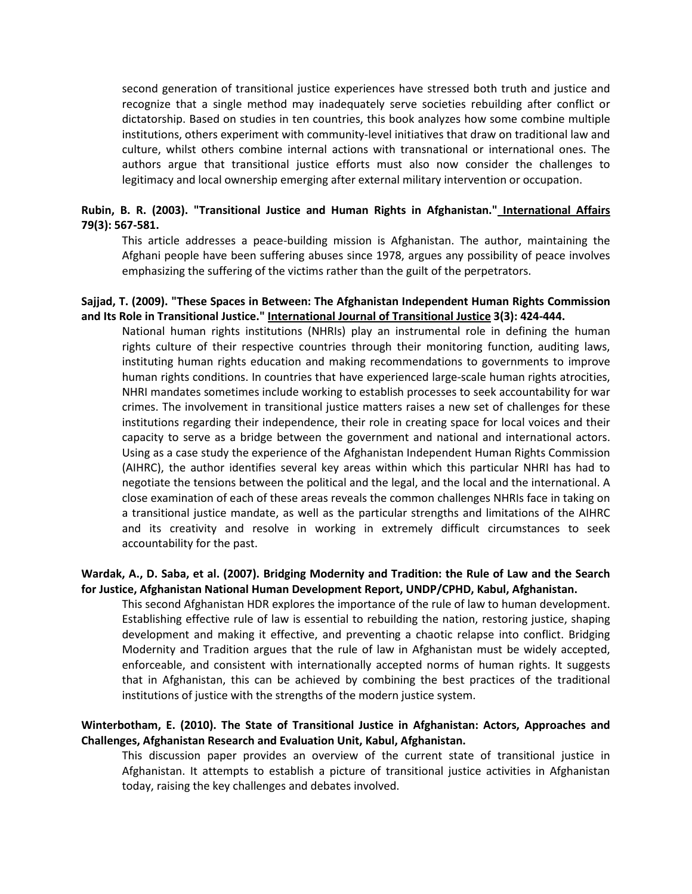second generation of transitional justice experiences have stressed both truth and justice and recognize that a single method may inadequately serve societies rebuilding after conflict or dictatorship. Based on studies in ten countries, this book analyzes how some combine multiple institutions, others experiment with community-level initiatives that draw on traditional law and culture, whilst others combine internal actions with transnational or international ones. The authors argue that transitional justice efforts must also now consider the challenges to legitimacy and local ownership emerging after external military intervention or occupation.

#### **Rubin, B. R. (2003). "Transitional Justice and Human Rights in Afghanistan." International Affairs 79(3): 567-581.**

This article addresses a peace-building mission is Afghanistan. The author, maintaining the Afghani people have been suffering abuses since 1978, argues any possibility of peace involves emphasizing the suffering of the victims rather than the guilt of the perpetrators.

#### **Sajjad, T. (2009). "These Spaces in Between: The Afghanistan Independent Human Rights Commission and Its Role in Transitional Justice." International Journal of Transitional Justice 3(3): 424-444.**

National human rights institutions (NHRIs) play an instrumental role in defining the human rights culture of their respective countries through their monitoring function, auditing laws, instituting human rights education and making recommendations to governments to improve human rights conditions. In countries that have experienced large-scale human rights atrocities, NHRI mandates sometimes include working to establish processes to seek accountability for war crimes. The involvement in transitional justice matters raises a new set of challenges for these institutions regarding their independence, their role in creating space for local voices and their capacity to serve as a bridge between the government and national and international actors. Using as a case study the experience of the Afghanistan Independent Human Rights Commission (AIHRC), the author identifies several key areas within which this particular NHRI has had to negotiate the tensions between the political and the legal, and the local and the international. A close examination of each of these areas reveals the common challenges NHRIs face in taking on a transitional justice mandate, as well as the particular strengths and limitations of the AIHRC and its creativity and resolve in working in extremely difficult circumstances to seek accountability for the past.

#### **Wardak, A., D. Saba, et al. (2007). Bridging Modernity and Tradition: the Rule of Law and the Search for Justice, Afghanistan National Human Development Report, UNDP/CPHD, Kabul, Afghanistan.**

This second Afghanistan HDR explores the importance of the rule of law to human development. Establishing effective rule of law is essential to rebuilding the nation, restoring justice, shaping development and making it effective, and preventing a chaotic relapse into conflict. Bridging Modernity and Tradition argues that the rule of law in Afghanistan must be widely accepted, enforceable, and consistent with internationally accepted norms of human rights. It suggests that in Afghanistan, this can be achieved by combining the best practices of the traditional institutions of justice with the strengths of the modern justice system.

#### **Winterbotham, E. (2010). The State of Transitional Justice in Afghanistan: Actors, Approaches and Challenges, Afghanistan Research and Evaluation Unit, Kabul, Afghanistan.**

This discussion paper provides an overview of the current state of transitional justice in Afghanistan. It attempts to establish a picture of transitional justice activities in Afghanistan today, raising the key challenges and debates involved.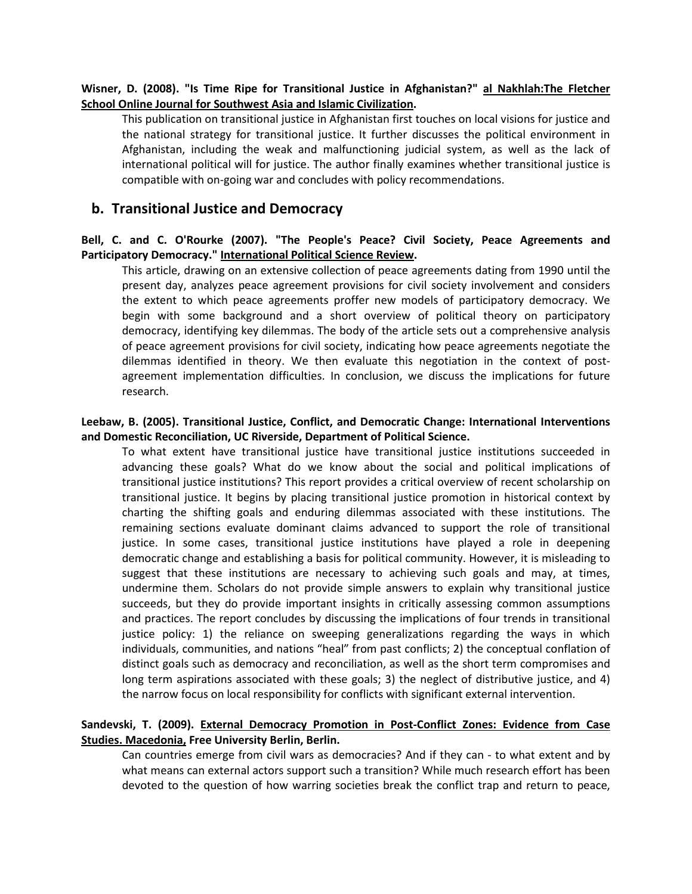#### **Wisner, D. (2008). "Is Time Ripe for Transitional Justice in Afghanistan?" al Nakhlah:The Fletcher School Online Journal for Southwest Asia and Islamic Civilization.**

This publication on transitional justice in Afghanistan first touches on local visions for justice and the national strategy for transitional justice. It further discusses the political environment in Afghanistan, including the weak and malfunctioning judicial system, as well as the lack of international political will for justice. The author finally examines whether transitional justice is compatible with on-going war and concludes with policy recommendations.

## **b. Transitional Justice and Democracy**

#### **Bell, C. and C. O'Rourke (2007). "The People's Peace? Civil Society, Peace Agreements and Participatory Democracy." International Political Science Review.**

This article, drawing on an extensive collection of peace agreements dating from 1990 until the present day, analyzes peace agreement provisions for civil society involvement and considers the extent to which peace agreements proffer new models of participatory democracy. We begin with some background and a short overview of political theory on participatory democracy, identifying key dilemmas. The body of the article sets out a comprehensive analysis of peace agreement provisions for civil society, indicating how peace agreements negotiate the dilemmas identified in theory. We then evaluate this negotiation in the context of postagreement implementation difficulties. In conclusion, we discuss the implications for future research.

#### **Leebaw, B. (2005). Transitional Justice, Conflict, and Democratic Change: International Interventions and Domestic Reconciliation, UC Riverside, Department of Political Science.**

To what extent have transitional justice have transitional justice institutions succeeded in advancing these goals? What do we know about the social and political implications of transitional justice institutions? This report provides a critical overview of recent scholarship on transitional justice. It begins by placing transitional justice promotion in historical context by charting the shifting goals and enduring dilemmas associated with these institutions. The remaining sections evaluate dominant claims advanced to support the role of transitional justice. In some cases, transitional justice institutions have played a role in deepening democratic change and establishing a basis for political community. However, it is misleading to suggest that these institutions are necessary to achieving such goals and may, at times, undermine them. Scholars do not provide simple answers to explain why transitional justice succeeds, but they do provide important insights in critically assessing common assumptions and practices. The report concludes by discussing the implications of four trends in transitional justice policy: 1) the reliance on sweeping generalizations regarding the ways in which individuals, communities, and nations "heal" from past conflicts; 2) the conceptual conflation of distinct goals such as democracy and reconciliation, as well as the short term compromises and long term aspirations associated with these goals; 3) the neglect of distributive justice, and 4) the narrow focus on local responsibility for conflicts with significant external intervention.

#### **Sandevski, T. (2009). External Democracy Promotion in Post-Conflict Zones: Evidence from Case Studies. Macedonia, Free University Berlin, Berlin.**

Can countries emerge from civil wars as democracies? And if they can - to what extent and by what means can external actors support such a transition? While much research effort has been devoted to the question of how warring societies break the conflict trap and return to peace,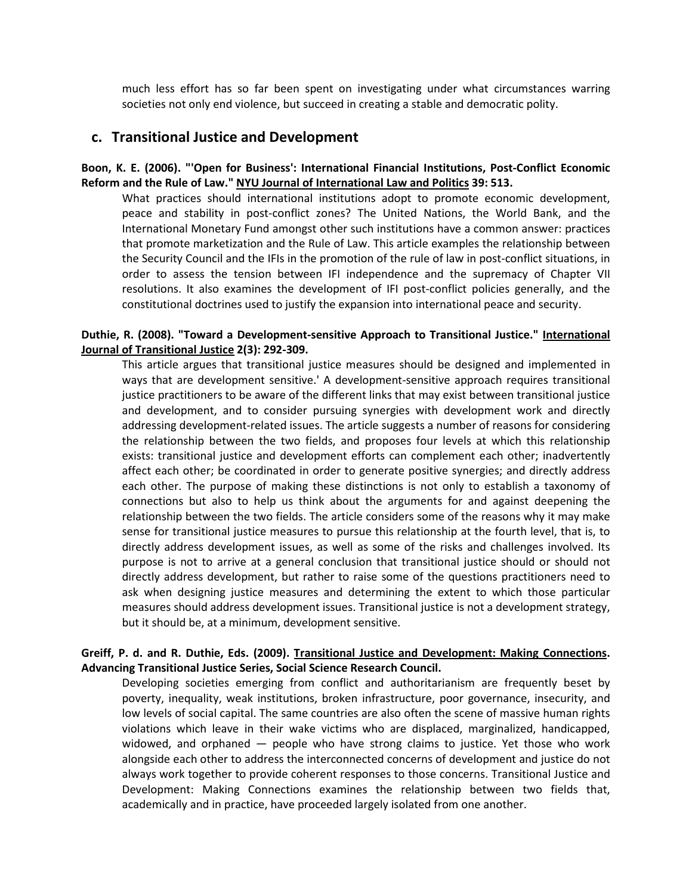much less effort has so far been spent on investigating under what circumstances warring societies not only end violence, but succeed in creating a stable and democratic polity.

#### **c. Transitional Justice and Development**

#### **Boon, K. E. (2006). "'Open for Business': International Financial Institutions, Post-Conflict Economic Reform and the Rule of Law." NYU Journal of International Law and Politics 39: 513.**

What practices should international institutions adopt to promote economic development, peace and stability in post-conflict zones? The United Nations, the World Bank, and the International Monetary Fund amongst other such institutions have a common answer: practices that promote marketization and the Rule of Law. This article examples the relationship between the Security Council and the IFIs in the promotion of the rule of law in post-conflict situations, in order to assess the tension between IFI independence and the supremacy of Chapter VII resolutions. It also examines the development of IFI post-conflict policies generally, and the constitutional doctrines used to justify the expansion into international peace and security.

#### **Duthie, R. (2008). "Toward a Development-sensitive Approach to Transitional Justice." International Journal of Transitional Justice 2(3): 292-309.**

This article argues that transitional justice measures should be designed and implemented in ways that are development sensitive.' A development-sensitive approach requires transitional justice practitioners to be aware of the different links that may exist between transitional justice and development, and to consider pursuing synergies with development work and directly addressing development-related issues. The article suggests a number of reasons for considering the relationship between the two fields, and proposes four levels at which this relationship exists: transitional justice and development efforts can complement each other; inadvertently affect each other; be coordinated in order to generate positive synergies; and directly address each other. The purpose of making these distinctions is not only to establish a taxonomy of connections but also to help us think about the arguments for and against deepening the relationship between the two fields. The article considers some of the reasons why it may make sense for transitional justice measures to pursue this relationship at the fourth level, that is, to directly address development issues, as well as some of the risks and challenges involved. Its purpose is not to arrive at a general conclusion that transitional justice should or should not directly address development, but rather to raise some of the questions practitioners need to ask when designing justice measures and determining the extent to which those particular measures should address development issues. Transitional justice is not a development strategy, but it should be, at a minimum, development sensitive.

#### **Greiff, P. d. and R. Duthie, Eds. (2009). Transitional Justice and Development: Making Connections. Advancing Transitional Justice Series, Social Science Research Council.**

Developing societies emerging from conflict and authoritarianism are frequently beset by poverty, inequality, weak institutions, broken infrastructure, poor governance, insecurity, and low levels of social capital. The same countries are also often the scene of massive human rights violations which leave in their wake victims who are displaced, marginalized, handicapped, widowed, and orphaned — people who have strong claims to justice. Yet those who work alongside each other to address the interconnected concerns of development and justice do not always work together to provide coherent responses to those concerns. Transitional Justice and Development: Making Connections examines the relationship between two fields that, academically and in practice, have proceeded largely isolated from one another.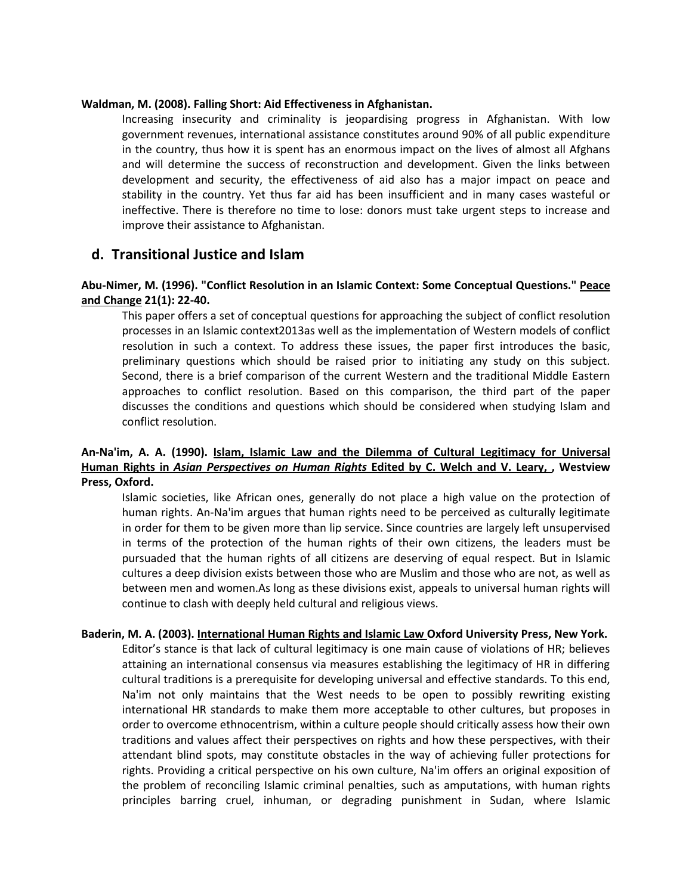#### **Waldman, M. (2008). Falling Short: Aid Effectiveness in Afghanistan.**

Increasing insecurity and criminality is jeopardising progress in Afghanistan. With low government revenues, international assistance constitutes around 90% of all public expenditure in the country, thus how it is spent has an enormous impact on the lives of almost all Afghans and will determine the success of reconstruction and development. Given the links between development and security, the effectiveness of aid also has a major impact on peace and stability in the country. Yet thus far aid has been insufficient and in many cases wasteful or ineffective. There is therefore no time to lose: donors must take urgent steps to increase and improve their assistance to Afghanistan.

#### **d. Transitional Justice and Islam**

#### **Abu-Nimer, M. (1996). "Conflict Resolution in an Islamic Context: Some Conceptual Questions." Peace and Change 21(1): 22-40.**

This paper offers a set of conceptual questions for approaching the subject of conflict resolution processes in an Islamic context2013as well as the implementation of Western models of conflict resolution in such a context. To address these issues, the paper first introduces the basic, preliminary questions which should be raised prior to initiating any study on this subject. Second, there is a brief comparison of the current Western and the traditional Middle Eastern approaches to conflict resolution. Based on this comparison, the third part of the paper discusses the conditions and questions which should be considered when studying Islam and conflict resolution.

#### **An-Na'im, A. A. (1990). Islam, Islamic Law and the Dilemma of Cultural Legitimacy for Universal Human Rights in** *Asian Perspectives on Human Rights* **Edited by C. Welch and V. Leary, , Westview Press, Oxford.**

Islamic societies, like African ones, generally do not place a high value on the protection of human rights. An-Na'im argues that human rights need to be perceived as culturally legitimate in order for them to be given more than lip service. Since countries are largely left unsupervised in terms of the protection of the human rights of their own citizens, the leaders must be pursuaded that the human rights of all citizens are deserving of equal respect. But in Islamic cultures a deep division exists between those who are Muslim and those who are not, as well as between men and women.As long as these divisions exist, appeals to universal human rights will continue to clash with deeply held cultural and religious views.

## **Baderin, M. A. (2003). International Human Rights and Islamic Law Oxford University Press, New York.**

Editor's stance is that lack of cultural legitimacy is one main cause of violations of HR; believes attaining an international consensus via measures establishing the legitimacy of HR in differing cultural traditions is a prerequisite for developing universal and effective standards. To this end, Na'im not only maintains that the West needs to be open to possibly rewriting existing international HR standards to make them more acceptable to other cultures, but proposes in order to overcome ethnocentrism, within a culture people should critically assess how their own traditions and values affect their perspectives on rights and how these perspectives, with their attendant blind spots, may constitute obstacles in the way of achieving fuller protections for rights. Providing a critical perspective on his own culture, Na'im offers an original exposition of the problem of reconciling Islamic criminal penalties, such as amputations, with human rights principles barring cruel, inhuman, or degrading punishment in Sudan, where Islamic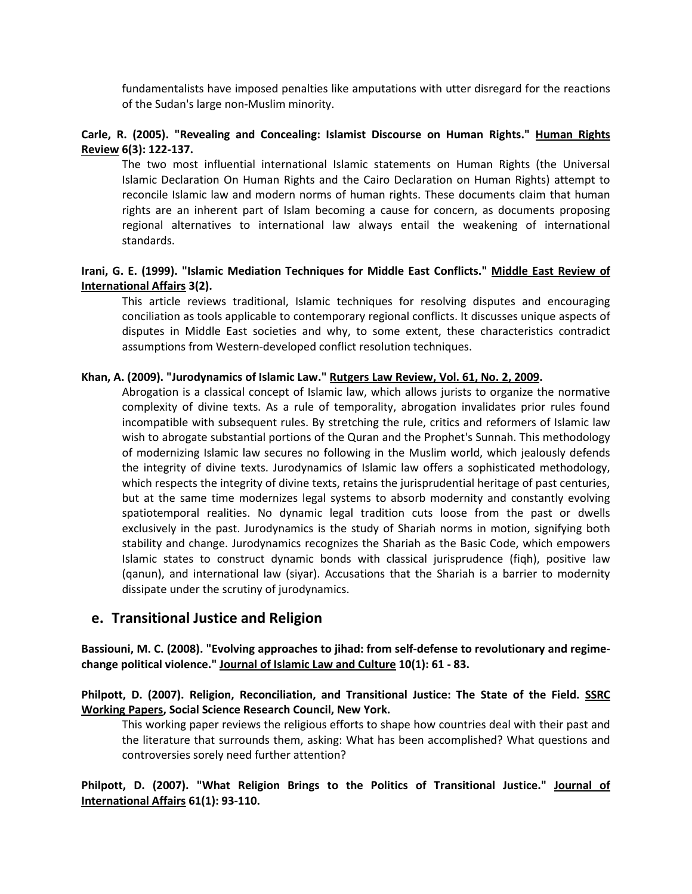fundamentalists have imposed penalties like amputations with utter disregard for the reactions of the Sudan's large non-Muslim minority.

#### **Carle, R. (2005). "Revealing and Concealing: Islamist Discourse on Human Rights." Human Rights Review 6(3): 122-137.**

The two most influential international Islamic statements on Human Rights (the Universal Islamic Declaration On Human Rights and the Cairo Declaration on Human Rights) attempt to reconcile Islamic law and modern norms of human rights. These documents claim that human rights are an inherent part of Islam becoming a cause for concern, as documents proposing regional alternatives to international law always entail the weakening of international standards.

#### **Irani, G. E. (1999). "Islamic Mediation Techniques for Middle East Conflicts." Middle East Review of International Affairs 3(2).**

This article reviews traditional, Islamic techniques for resolving disputes and encouraging conciliation as tools applicable to contemporary regional conflicts. It discusses unique aspects of disputes in Middle East societies and why, to some extent, these characteristics contradict assumptions from Western-developed conflict resolution techniques.

#### **Khan, A. (2009). "Jurodynamics of Islamic Law." Rutgers Law Review, Vol. 61, No. 2, 2009.**

Abrogation is a classical concept of Islamic law, which allows jurists to organize the normative complexity of divine texts. As a rule of temporality, abrogation invalidates prior rules found incompatible with subsequent rules. By stretching the rule, critics and reformers of Islamic law wish to abrogate substantial portions of the Quran and the Prophet's Sunnah. This methodology of modernizing Islamic law secures no following in the Muslim world, which jealously defends the integrity of divine texts. Jurodynamics of Islamic law offers a sophisticated methodology, which respects the integrity of divine texts, retains the jurisprudential heritage of past centuries, but at the same time modernizes legal systems to absorb modernity and constantly evolving spatiotemporal realities. No dynamic legal tradition cuts loose from the past or dwells exclusively in the past. Jurodynamics is the study of Shariah norms in motion, signifying both stability and change. Jurodynamics recognizes the Shariah as the Basic Code, which empowers Islamic states to construct dynamic bonds with classical jurisprudence (fiqh), positive law (qanun), and international law (siyar). Accusations that the Shariah is a barrier to modernity dissipate under the scrutiny of jurodynamics.

#### **e. Transitional Justice and Religion**

**Bassiouni, M. C. (2008). "Evolving approaches to jihad: from self-defense to revolutionary and regimechange political violence." Journal of Islamic Law and Culture 10(1): 61 - 83.**

**Philpott, D. (2007). Religion, Reconciliation, and Transitional Justice: The State of the Field. SSRC Working Papers, Social Science Research Council, New York.**

This working paper reviews the religious efforts to shape how countries deal with their past and the literature that surrounds them, asking: What has been accomplished? What questions and controversies sorely need further attention?

#### **Philpott, D. (2007). "What Religion Brings to the Politics of Transitional Justice." Journal of International Affairs 61(1): 93-110.**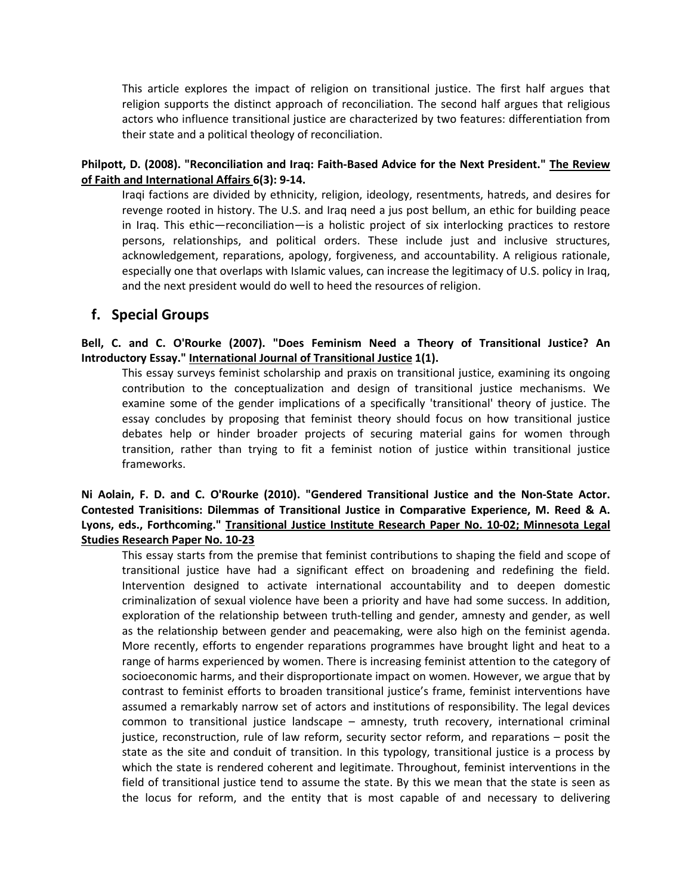This article explores the impact of religion on transitional justice. The first half argues that religion supports the distinct approach of reconciliation. The second half argues that religious actors who influence transitional justice are characterized by two features: differentiation from their state and a political theology of reconciliation.

#### **Philpott, D. (2008). "Reconciliation and Iraq: Faith-Based Advice for the Next President." The Review of Faith and International Affairs 6(3): 9-14.**

Iraqi factions are divided by ethnicity, religion, ideology, resentments, hatreds, and desires for revenge rooted in history. The U.S. and Iraq need a jus post bellum, an ethic for building peace in Iraq. This ethic—reconciliation—is a holistic project of six interlocking practices to restore persons, relationships, and political orders. These include just and inclusive structures, acknowledgement, reparations, apology, forgiveness, and accountability. A religious rationale, especially one that overlaps with Islamic values, can increase the legitimacy of U.S. policy in Iraq, and the next president would do well to heed the resources of religion.

## **f. Special Groups**

#### **Bell, C. and C. O'Rourke (2007). "Does Feminism Need a Theory of Transitional Justice? An Introductory Essay." International Journal of Transitional Justice 1(1).**

This essay surveys feminist scholarship and praxis on transitional justice, examining its ongoing contribution to the conceptualization and design of transitional justice mechanisms. We examine some of the gender implications of a specifically 'transitional' theory of justice. The essay concludes by proposing that feminist theory should focus on how transitional justice debates help or hinder broader projects of securing material gains for women through transition, rather than trying to fit a feminist notion of justice within transitional justice frameworks.

#### **Ni Aolain, F. D. and C. O'Rourke (2010). "Gendered Transitional Justice and the Non-State Actor. Contested Tranisitions: Dilemmas of Transitional Justice in Comparative Experience, M. Reed & A. Lyons, eds., Forthcoming." Transitional Justice Institute Research Paper No. 10-02; Minnesota Legal Studies Research Paper No. 10-23**

This essay starts from the premise that feminist contributions to shaping the field and scope of transitional justice have had a significant effect on broadening and redefining the field. Intervention designed to activate international accountability and to deepen domestic criminalization of sexual violence have been a priority and have had some success. In addition, exploration of the relationship between truth-telling and gender, amnesty and gender, as well as the relationship between gender and peacemaking, were also high on the feminist agenda. More recently, efforts to engender reparations programmes have brought light and heat to a range of harms experienced by women. There is increasing feminist attention to the category of socioeconomic harms, and their disproportionate impact on women. However, we argue that by contrast to feminist efforts to broaden transitional justice's frame, feminist interventions have assumed a remarkably narrow set of actors and institutions of responsibility. The legal devices common to transitional justice landscape – amnesty, truth recovery, international criminal justice, reconstruction, rule of law reform, security sector reform, and reparations – posit the state as the site and conduit of transition. In this typology, transitional justice is a process by which the state is rendered coherent and legitimate. Throughout, feminist interventions in the field of transitional justice tend to assume the state. By this we mean that the state is seen as the locus for reform, and the entity that is most capable of and necessary to delivering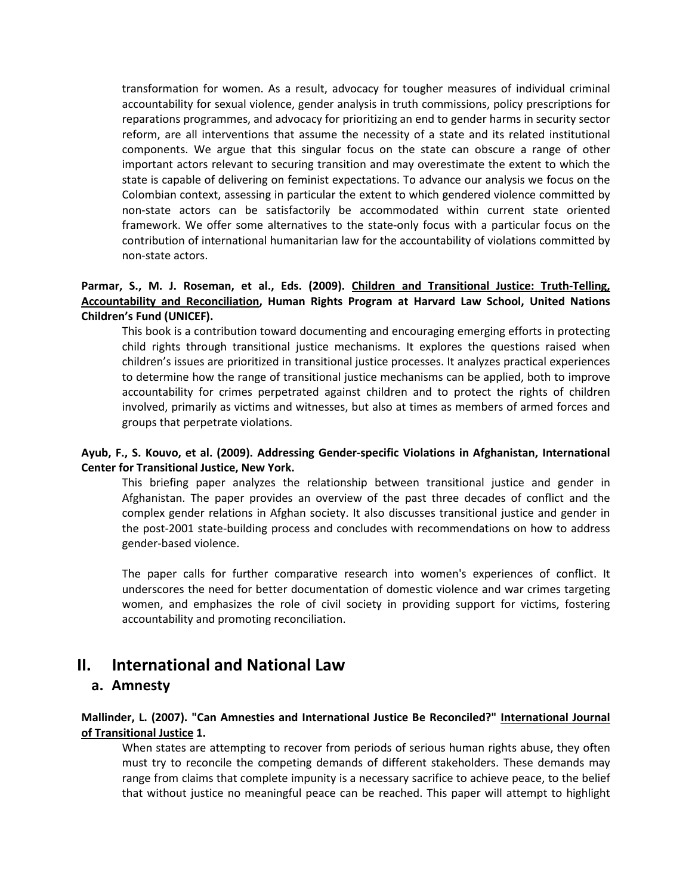transformation for women. As a result, advocacy for tougher measures of individual criminal accountability for sexual violence, gender analysis in truth commissions, policy prescriptions for reparations programmes, and advocacy for prioritizing an end to gender harms in security sector reform, are all interventions that assume the necessity of a state and its related institutional components. We argue that this singular focus on the state can obscure a range of other important actors relevant to securing transition and may overestimate the extent to which the state is capable of delivering on feminist expectations. To advance our analysis we focus on the Colombian context, assessing in particular the extent to which gendered violence committed by non-state actors can be satisfactorily be accommodated within current state oriented framework. We offer some alternatives to the state-only focus with a particular focus on the contribution of international humanitarian law for the accountability of violations committed by non-state actors.

#### **Parmar, S., M. J. Roseman, et al., Eds. (2009). Children and Transitional Justice: Truth-Telling, Accountability and Reconciliation, Human Rights Program at Harvard Law School, United Nations Children's Fund (UNICEF).**

This book is a contribution toward documenting and encouraging emerging efforts in protecting child rights through transitional justice mechanisms. It explores the questions raised when children's issues are prioritized in transitional justice processes. It analyzes practical experiences to determine how the range of transitional justice mechanisms can be applied, both to improve accountability for crimes perpetrated against children and to protect the rights of children involved, primarily as victims and witnesses, but also at times as members of armed forces and groups that perpetrate violations.

#### **Ayub, F., S. Kouvo, et al. (2009). Addressing Gender-specific Violations in Afghanistan, International Center for Transitional Justice, New York.**

This briefing paper analyzes the relationship between transitional justice and gender in Afghanistan. The paper provides an overview of the past three decades of conflict and the complex gender relations in Afghan society. It also discusses transitional justice and gender in the post-2001 state-building process and concludes with recommendations on how to address gender-based violence.

The paper calls for further comparative research into women's experiences of conflict. It underscores the need for better documentation of domestic violence and war crimes targeting women, and emphasizes the role of civil society in providing support for victims, fostering accountability and promoting reconciliation.

## **II. International and National Law**

#### **a. Amnesty**

**Mallinder, L. (2007). "Can Amnesties and International Justice Be Reconciled?" International Journal of Transitional Justice 1.**

When states are attempting to recover from periods of serious human rights abuse, they often must try to reconcile the competing demands of different stakeholders. These demands may range from claims that complete impunity is a necessary sacrifice to achieve peace, to the belief that without justice no meaningful peace can be reached. This paper will attempt to highlight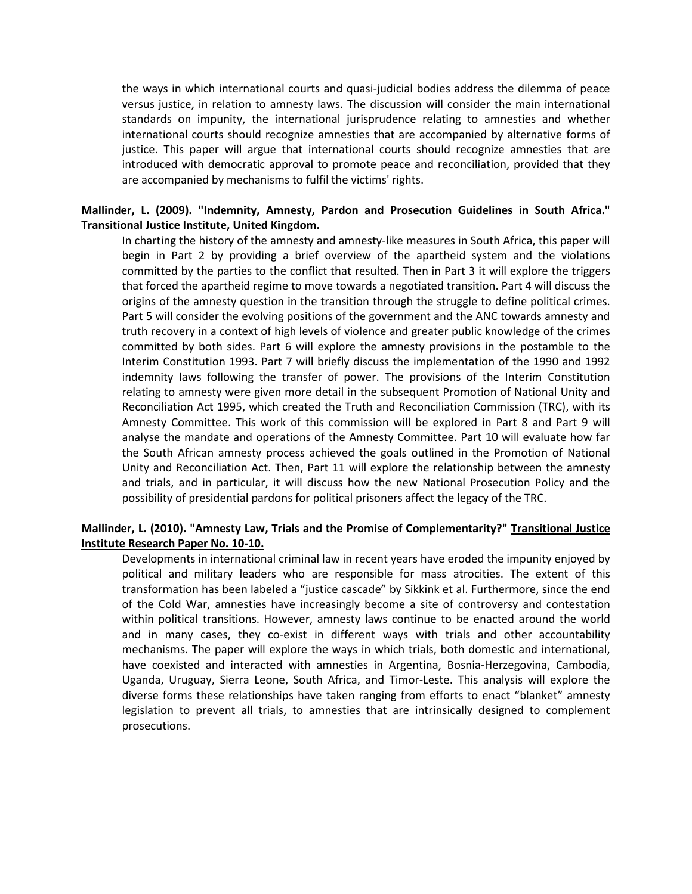the ways in which international courts and quasi-judicial bodies address the dilemma of peace versus justice, in relation to amnesty laws. The discussion will consider the main international standards on impunity, the international jurisprudence relating to amnesties and whether international courts should recognize amnesties that are accompanied by alternative forms of justice. This paper will argue that international courts should recognize amnesties that are introduced with democratic approval to promote peace and reconciliation, provided that they are accompanied by mechanisms to fulfil the victims' rights.

#### **Mallinder, L. (2009). "Indemnity, Amnesty, Pardon and Prosecution Guidelines in South Africa." Transitional Justice Institute, United Kingdom.**

In charting the history of the amnesty and amnesty-like measures in South Africa, this paper will begin in Part 2 by providing a brief overview of the apartheid system and the violations committed by the parties to the conflict that resulted. Then in Part 3 it will explore the triggers that forced the apartheid regime to move towards a negotiated transition. Part 4 will discuss the origins of the amnesty question in the transition through the struggle to define political crimes. Part 5 will consider the evolving positions of the government and the ANC towards amnesty and truth recovery in a context of high levels of violence and greater public knowledge of the crimes committed by both sides. Part 6 will explore the amnesty provisions in the postamble to the Interim Constitution 1993. Part 7 will briefly discuss the implementation of the 1990 and 1992 indemnity laws following the transfer of power. The provisions of the Interim Constitution relating to amnesty were given more detail in the subsequent Promotion of National Unity and Reconciliation Act 1995, which created the Truth and Reconciliation Commission (TRC), with its Amnesty Committee. This work of this commission will be explored in Part 8 and Part 9 will analyse the mandate and operations of the Amnesty Committee. Part 10 will evaluate how far the South African amnesty process achieved the goals outlined in the Promotion of National Unity and Reconciliation Act. Then, Part 11 will explore the relationship between the amnesty and trials, and in particular, it will discuss how the new National Prosecution Policy and the possibility of presidential pardons for political prisoners affect the legacy of the TRC.

#### **Mallinder, L. (2010). "Amnesty Law, Trials and the Promise of Complementarity?" Transitional Justice Institute Research Paper No. 10-10.**

Developments in international criminal law in recent years have eroded the impunity enjoyed by political and military leaders who are responsible for mass atrocities. The extent of this transformation has been labeled a "justice cascade" by Sikkink et al. Furthermore, since the end of the Cold War, amnesties have increasingly become a site of controversy and contestation within political transitions. However, amnesty laws continue to be enacted around the world and in many cases, they co-exist in different ways with trials and other accountability mechanisms. The paper will explore the ways in which trials, both domestic and international, have coexisted and interacted with amnesties in Argentina, Bosnia-Herzegovina, Cambodia, Uganda, Uruguay, Sierra Leone, South Africa, and Timor-Leste. This analysis will explore the diverse forms these relationships have taken ranging from efforts to enact "blanket" amnesty legislation to prevent all trials, to amnesties that are intrinsically designed to complement prosecutions.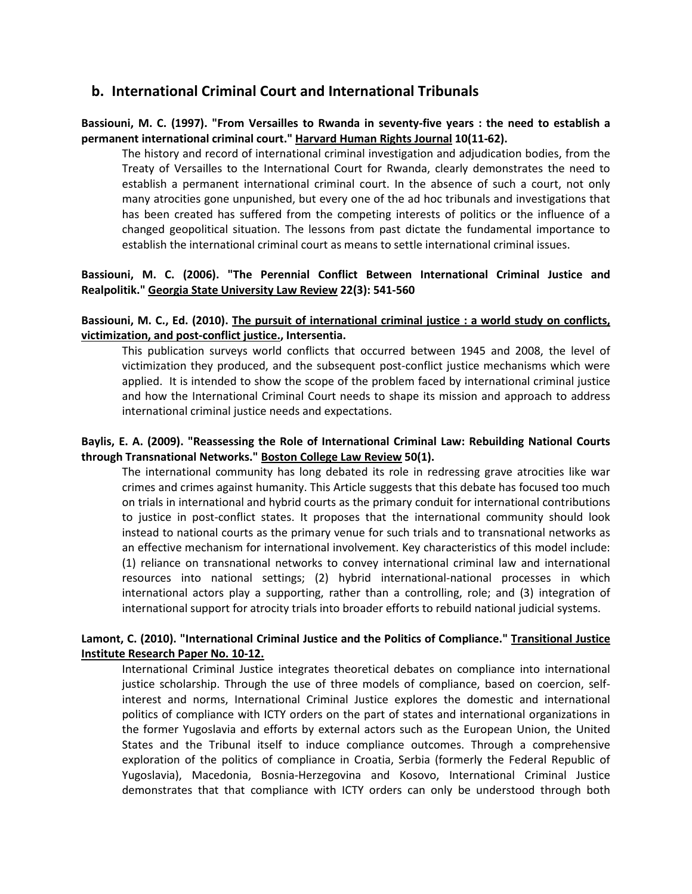## **b. International Criminal Court and International Tribunals**

#### **Bassiouni, M. C. (1997). "From Versailles to Rwanda in seventy-five years : the need to establish a permanent international criminal court." Harvard Human Rights Journal 10(11-62).**

The history and record of international criminal investigation and adjudication bodies, from the Treaty of Versailles to the International Court for Rwanda, clearly demonstrates the need to establish a permanent international criminal court. In the absence of such a court, not only many atrocities gone unpunished, but every one of the ad hoc tribunals and investigations that has been created has suffered from the competing interests of politics or the influence of a changed geopolitical situation. The lessons from past dictate the fundamental importance to establish the international criminal court as means to settle international criminal issues.

#### **Bassiouni, M. C. (2006). "The Perennial Conflict Between International Criminal Justice and Realpolitik." Georgia State University Law Review 22(3): 541-560**

#### **Bassiouni, M. C., Ed. (2010). The pursuit of international criminal justice : a world study on conflicts, victimization, and post-conflict justice., Intersentia.**

This publication surveys world conflicts that occurred between 1945 and 2008, the level of victimization they produced, and the subsequent post-conflict justice mechanisms which were applied. It is intended to show the scope of the problem faced by international criminal justice and how the International Criminal Court needs to shape its mission and approach to address international criminal justice needs and expectations.

#### **Baylis, E. A. (2009). "Reassessing the Role of International Criminal Law: Rebuilding National Courts through Transnational Networks." Boston College Law Review 50(1).**

The international community has long debated its role in redressing grave atrocities like war crimes and crimes against humanity. This Article suggests that this debate has focused too much on trials in international and hybrid courts as the primary conduit for international contributions to justice in post-conflict states. It proposes that the international community should look instead to national courts as the primary venue for such trials and to transnational networks as an effective mechanism for international involvement. Key characteristics of this model include: (1) reliance on transnational networks to convey international criminal law and international resources into national settings; (2) hybrid international-national processes in which international actors play a supporting, rather than a controlling, role; and (3) integration of international support for atrocity trials into broader efforts to rebuild national judicial systems.

#### **Lamont, C. (2010). "International Criminal Justice and the Politics of Compliance." Transitional Justice Institute Research Paper No. 10-12.**

International Criminal Justice integrates theoretical debates on compliance into international justice scholarship. Through the use of three models of compliance, based on coercion, selfinterest and norms, International Criminal Justice explores the domestic and international politics of compliance with ICTY orders on the part of states and international organizations in the former Yugoslavia and efforts by external actors such as the European Union, the United States and the Tribunal itself to induce compliance outcomes. Through a comprehensive exploration of the politics of compliance in Croatia, Serbia (formerly the Federal Republic of Yugoslavia), Macedonia, Bosnia-Herzegovina and Kosovo, International Criminal Justice demonstrates that that compliance with ICTY orders can only be understood through both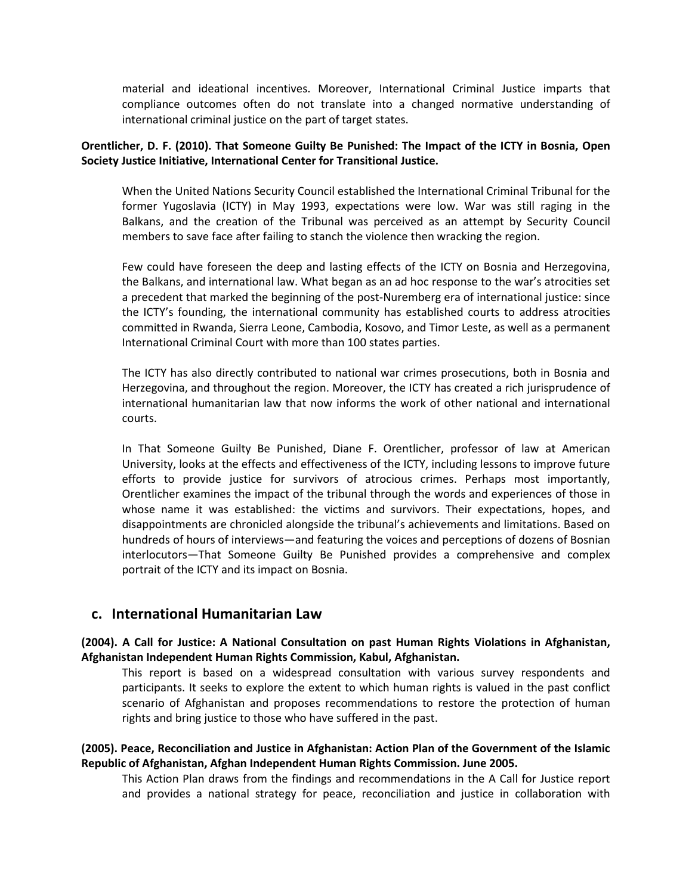material and ideational incentives. Moreover, International Criminal Justice imparts that compliance outcomes often do not translate into a changed normative understanding of international criminal justice on the part of target states.

#### **Orentlicher, D. F. (2010). That Someone Guilty Be Punished: The Impact of the ICTY in Bosnia, Open Society Justice Initiative, International Center for Transitional Justice.**

When the United Nations Security Council established the International Criminal Tribunal for the former Yugoslavia (ICTY) in May 1993, expectations were low. War was still raging in the Balkans, and the creation of the Tribunal was perceived as an attempt by Security Council members to save face after failing to stanch the violence then wracking the region.

Few could have foreseen the deep and lasting effects of the ICTY on Bosnia and Herzegovina, the Balkans, and international law. What began as an ad hoc response to the war's atrocities set a precedent that marked the beginning of the post-Nuremberg era of international justice: since the ICTY's founding, the international community has established courts to address atrocities committed in Rwanda, Sierra Leone, Cambodia, Kosovo, and Timor Leste, as well as a permanent International Criminal Court with more than 100 states parties.

The ICTY has also directly contributed to national war crimes prosecutions, both in Bosnia and Herzegovina, and throughout the region. Moreover, the ICTY has created a rich jurisprudence of international humanitarian law that now informs the work of other national and international courts.

In That Someone Guilty Be Punished, Diane F. Orentlicher, professor of law at American University, looks at the effects and effectiveness of the ICTY, including lessons to improve future efforts to provide justice for survivors of atrocious crimes. Perhaps most importantly, Orentlicher examines the impact of the tribunal through the words and experiences of those in whose name it was established: the victims and survivors. Their expectations, hopes, and disappointments are chronicled alongside the tribunal's achievements and limitations. Based on hundreds of hours of interviews—and featuring the voices and perceptions of dozens of Bosnian interlocutors—That Someone Guilty Be Punished provides a comprehensive and complex portrait of the ICTY and its impact on Bosnia.

#### **c. International Humanitarian Law**

#### **(2004). A Call for Justice: A National Consultation on past Human Rights Violations in Afghanistan, Afghanistan Independent Human Rights Commission, Kabul, Afghanistan.**

This report is based on a widespread consultation with various survey respondents and participants. It seeks to explore the extent to which human rights is valued in the past conflict scenario of Afghanistan and proposes recommendations to restore the protection of human rights and bring justice to those who have suffered in the past.

#### **(2005). Peace, Reconciliation and Justice in Afghanistan: Action Plan of the Government of the Islamic Republic of Afghanistan, Afghan Independent Human Rights Commission. June 2005.**

This Action Plan draws from the findings and recommendations in the A Call for Justice report and provides a national strategy for peace, reconciliation and justice in collaboration with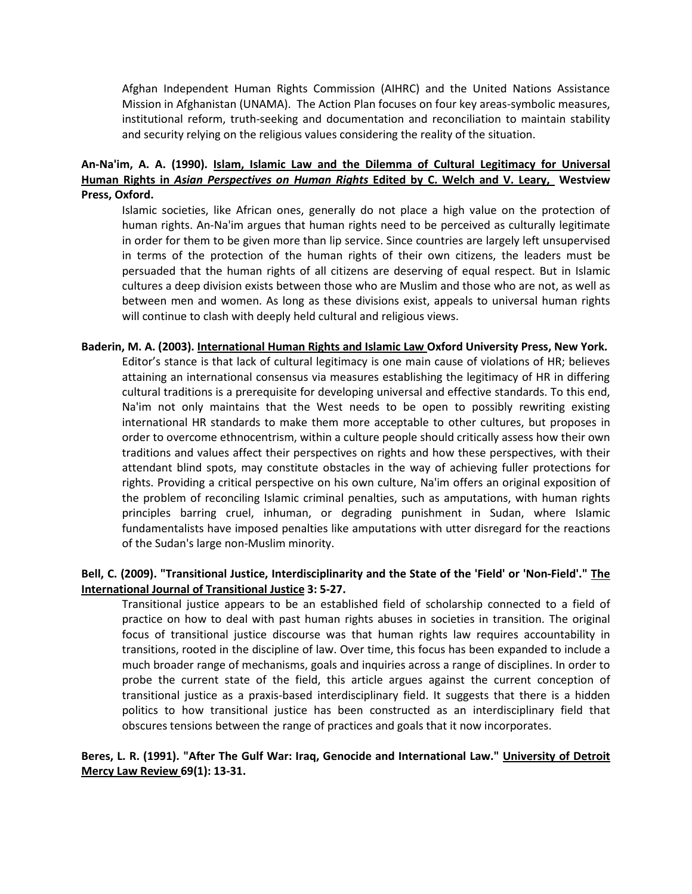Afghan Independent Human Rights Commission (AIHRC) and the United Nations Assistance Mission in Afghanistan (UNAMA). The Action Plan focuses on four key areas-symbolic measures, institutional reform, truth-seeking and documentation and reconciliation to maintain stability and security relying on the religious values considering the reality of the situation.

#### **An-Na'im, A. A. (1990). Islam, Islamic Law and the Dilemma of Cultural Legitimacy for Universal Human Rights in** *Asian Perspectives on Human Rights* **Edited by C. Welch and V. Leary, Westview Press, Oxford.**

Islamic societies, like African ones, generally do not place a high value on the protection of human rights. An-Na'im argues that human rights need to be perceived as culturally legitimate in order for them to be given more than lip service. Since countries are largely left unsupervised in terms of the protection of the human rights of their own citizens, the leaders must be persuaded that the human rights of all citizens are deserving of equal respect. But in Islamic cultures a deep division exists between those who are Muslim and those who are not, as well as between men and women. As long as these divisions exist, appeals to universal human rights will continue to clash with deeply held cultural and religious views.

**Baderin, M. A. (2003). International Human Rights and Islamic Law Oxford University Press, New York.** Editor's stance is that lack of cultural legitimacy is one main cause of violations of HR; believes attaining an international consensus via measures establishing the legitimacy of HR in differing cultural traditions is a prerequisite for developing universal and effective standards. To this end, Na'im not only maintains that the West needs to be open to possibly rewriting existing international HR standards to make them more acceptable to other cultures, but proposes in order to overcome ethnocentrism, within a culture people should critically assess how their own traditions and values affect their perspectives on rights and how these perspectives, with their attendant blind spots, may constitute obstacles in the way of achieving fuller protections for rights. Providing a critical perspective on his own culture, Na'im offers an original exposition of the problem of reconciling Islamic criminal penalties, such as amputations, with human rights principles barring cruel, inhuman, or degrading punishment in Sudan, where Islamic fundamentalists have imposed penalties like amputations with utter disregard for the reactions of the Sudan's large non-Muslim minority.

#### **Bell, C. (2009). "Transitional Justice, Interdisciplinarity and the State of the 'Field' or 'Non-Field'." The International Journal of Transitional Justice 3: 5-27.**

Transitional justice appears to be an established field of scholarship connected to a field of practice on how to deal with past human rights abuses in societies in transition. The original focus of transitional justice discourse was that human rights law requires accountability in transitions, rooted in the discipline of law. Over time, this focus has been expanded to include a much broader range of mechanisms, goals and inquiries across a range of disciplines. In order to probe the current state of the field, this article argues against the current conception of transitional justice as a praxis-based interdisciplinary field. It suggests that there is a hidden politics to how transitional justice has been constructed as an interdisciplinary field that obscures tensions between the range of practices and goals that it now incorporates.

#### **Beres, L. R. (1991). "After The Gulf War: Iraq, Genocide and International Law." University of Detroit Mercy Law Review 69(1): 13-31.**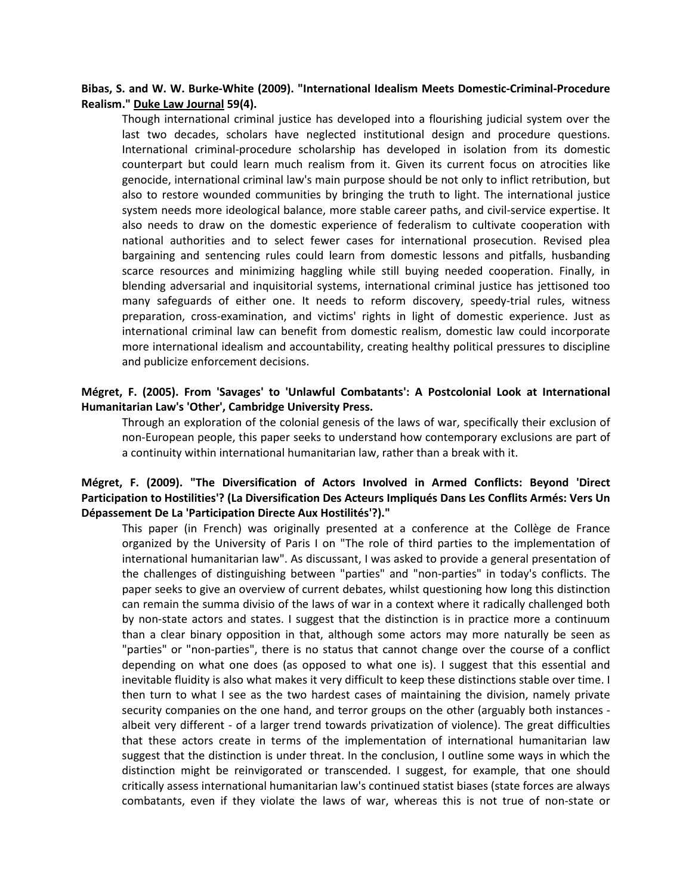#### **Bibas, S. and W. W. Burke-White (2009). "International Idealism Meets Domestic-Criminal-Procedure Realism." Duke Law Journal 59(4).**

Though international criminal justice has developed into a flourishing judicial system over the last two decades, scholars have neglected institutional design and procedure questions. International criminal-procedure scholarship has developed in isolation from its domestic counterpart but could learn much realism from it. Given its current focus on atrocities like genocide, international criminal law's main purpose should be not only to inflict retribution, but also to restore wounded communities by bringing the truth to light. The international justice system needs more ideological balance, more stable career paths, and civil-service expertise. It also needs to draw on the domestic experience of federalism to cultivate cooperation with national authorities and to select fewer cases for international prosecution. Revised plea bargaining and sentencing rules could learn from domestic lessons and pitfalls, husbanding scarce resources and minimizing haggling while still buying needed cooperation. Finally, in blending adversarial and inquisitorial systems, international criminal justice has jettisoned too many safeguards of either one. It needs to reform discovery, speedy-trial rules, witness preparation, cross-examination, and victims' rights in light of domestic experience. Just as international criminal law can benefit from domestic realism, domestic law could incorporate more international idealism and accountability, creating healthy political pressures to discipline and publicize enforcement decisions.

#### **Mégret, F. (2005). From 'Savages' to 'Unlawful Combatants': A Postcolonial Look at International Humanitarian Law's 'Other', Cambridge University Press.**

Through an exploration of the colonial genesis of the laws of war, specifically their exclusion of non-European people, this paper seeks to understand how contemporary exclusions are part of a continuity within international humanitarian law, rather than a break with it.

#### **Mégret, F. (2009). "The Diversification of Actors Involved in Armed Conflicts: Beyond 'Direct Participation to Hostilities'? (La Diversification Des Acteurs Impliqués Dans Les Conflits Armés: Vers Un Dépassement De La 'Participation Directe Aux Hostilités'?)."**

This paper (in French) was originally presented at a conference at the Collège de France organized by the University of Paris I on "The role of third parties to the implementation of international humanitarian law". As discussant, I was asked to provide a general presentation of the challenges of distinguishing between "parties" and "non-parties" in today's conflicts. The paper seeks to give an overview of current debates, whilst questioning how long this distinction can remain the summa divisio of the laws of war in a context where it radically challenged both by non-state actors and states. I suggest that the distinction is in practice more a continuum than a clear binary opposition in that, although some actors may more naturally be seen as "parties" or "non-parties", there is no status that cannot change over the course of a conflict depending on what one does (as opposed to what one is). I suggest that this essential and inevitable fluidity is also what makes it very difficult to keep these distinctions stable over time. I then turn to what I see as the two hardest cases of maintaining the division, namely private security companies on the one hand, and terror groups on the other (arguably both instances albeit very different - of a larger trend towards privatization of violence). The great difficulties that these actors create in terms of the implementation of international humanitarian law suggest that the distinction is under threat. In the conclusion, I outline some ways in which the distinction might be reinvigorated or transcended. I suggest, for example, that one should critically assess international humanitarian law's continued statist biases (state forces are always combatants, even if they violate the laws of war, whereas this is not true of non-state or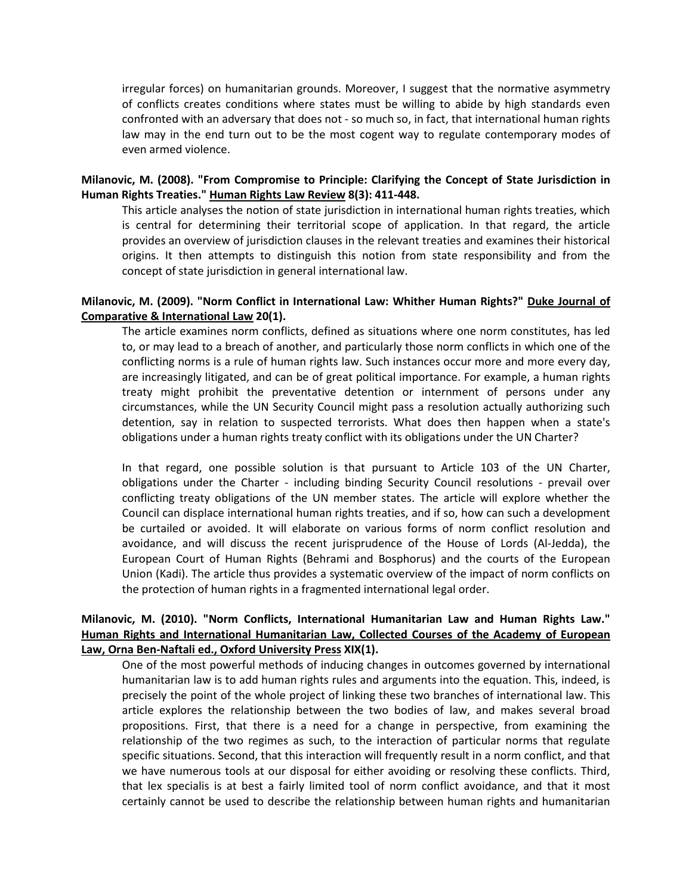irregular forces) on humanitarian grounds. Moreover, I suggest that the normative asymmetry of conflicts creates conditions where states must be willing to abide by high standards even confronted with an adversary that does not - so much so, in fact, that international human rights law may in the end turn out to be the most cogent way to regulate contemporary modes of even armed violence.

#### **Milanovic, M. (2008). "From Compromise to Principle: Clarifying the Concept of State Jurisdiction in Human Rights Treaties." Human Rights Law Review 8(3): 411-448.**

This article analyses the notion of state jurisdiction in international human rights treaties, which is central for determining their territorial scope of application. In that regard, the article provides an overview of jurisdiction clauses in the relevant treaties and examines their historical origins. It then attempts to distinguish this notion from state responsibility and from the concept of state jurisdiction in general international law.

#### **Milanovic, M. (2009). "Norm Conflict in International Law: Whither Human Rights?" Duke Journal of Comparative & International Law 20(1).**

The article examines norm conflicts, defined as situations where one norm constitutes, has led to, or may lead to a breach of another, and particularly those norm conflicts in which one of the conflicting norms is a rule of human rights law. Such instances occur more and more every day, are increasingly litigated, and can be of great political importance. For example, a human rights treaty might prohibit the preventative detention or internment of persons under any circumstances, while the UN Security Council might pass a resolution actually authorizing such detention, say in relation to suspected terrorists. What does then happen when a state's obligations under a human rights treaty conflict with its obligations under the UN Charter?

In that regard, one possible solution is that pursuant to Article 103 of the UN Charter, obligations under the Charter - including binding Security Council resolutions - prevail over conflicting treaty obligations of the UN member states. The article will explore whether the Council can displace international human rights treaties, and if so, how can such a development be curtailed or avoided. It will elaborate on various forms of norm conflict resolution and avoidance, and will discuss the recent jurisprudence of the House of Lords (Al-Jedda), the European Court of Human Rights (Behrami and Bosphorus) and the courts of the European Union (Kadi). The article thus provides a systematic overview of the impact of norm conflicts on the protection of human rights in a fragmented international legal order.

#### **Milanovic, M. (2010). "Norm Conflicts, International Humanitarian Law and Human Rights Law." Human Rights and International Humanitarian Law, Collected Courses of the Academy of European Law, Orna Ben-Naftali ed., Oxford University Press XIX(1).**

One of the most powerful methods of inducing changes in outcomes governed by international humanitarian law is to add human rights rules and arguments into the equation. This, indeed, is precisely the point of the whole project of linking these two branches of international law. This article explores the relationship between the two bodies of law, and makes several broad propositions. First, that there is a need for a change in perspective, from examining the relationship of the two regimes as such, to the interaction of particular norms that regulate specific situations. Second, that this interaction will frequently result in a norm conflict, and that we have numerous tools at our disposal for either avoiding or resolving these conflicts. Third, that lex specialis is at best a fairly limited tool of norm conflict avoidance, and that it most certainly cannot be used to describe the relationship between human rights and humanitarian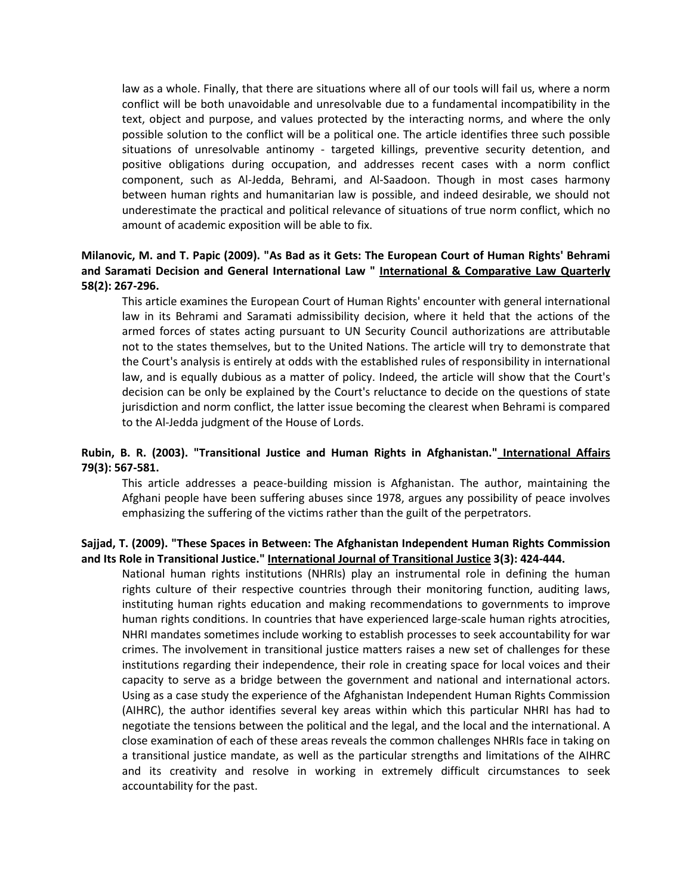law as a whole. Finally, that there are situations where all of our tools will fail us, where a norm conflict will be both unavoidable and unresolvable due to a fundamental incompatibility in the text, object and purpose, and values protected by the interacting norms, and where the only possible solution to the conflict will be a political one. The article identifies three such possible situations of unresolvable antinomy - targeted killings, preventive security detention, and positive obligations during occupation, and addresses recent cases with a norm conflict component, such as Al-Jedda, Behrami, and Al-Saadoon. Though in most cases harmony between human rights and humanitarian law is possible, and indeed desirable, we should not underestimate the practical and political relevance of situations of true norm conflict, which no amount of academic exposition will be able to fix.

#### **Milanovic, M. and T. Papic (2009). "As Bad as it Gets: The European Court of Human Rights' Behrami and Saramati Decision and General International Law " International & Comparative Law Quarterly 58(2): 267-296.**

This article examines the European Court of Human Rights' encounter with general international law in its Behrami and Saramati admissibility decision, where it held that the actions of the armed forces of states acting pursuant to UN Security Council authorizations are attributable not to the states themselves, but to the United Nations. The article will try to demonstrate that the Court's analysis is entirely at odds with the established rules of responsibility in international law, and is equally dubious as a matter of policy. Indeed, the article will show that the Court's decision can be only be explained by the Court's reluctance to decide on the questions of state jurisdiction and norm conflict, the latter issue becoming the clearest when Behrami is compared to the Al-Jedda judgment of the House of Lords.

#### **Rubin, B. R. (2003). "Transitional Justice and Human Rights in Afghanistan." International Affairs 79(3): 567-581.**

This article addresses a peace-building mission is Afghanistan. The author, maintaining the Afghani people have been suffering abuses since 1978, argues any possibility of peace involves emphasizing the suffering of the victims rather than the guilt of the perpetrators.

#### **Sajjad, T. (2009). "These Spaces in Between: The Afghanistan Independent Human Rights Commission and Its Role in Transitional Justice." International Journal of Transitional Justice 3(3): 424-444.**

National human rights institutions (NHRIs) play an instrumental role in defining the human rights culture of their respective countries through their monitoring function, auditing laws, instituting human rights education and making recommendations to governments to improve human rights conditions. In countries that have experienced large-scale human rights atrocities, NHRI mandates sometimes include working to establish processes to seek accountability for war crimes. The involvement in transitional justice matters raises a new set of challenges for these institutions regarding their independence, their role in creating space for local voices and their capacity to serve as a bridge between the government and national and international actors. Using as a case study the experience of the Afghanistan Independent Human Rights Commission (AIHRC), the author identifies several key areas within which this particular NHRI has had to negotiate the tensions between the political and the legal, and the local and the international. A close examination of each of these areas reveals the common challenges NHRIs face in taking on a transitional justice mandate, as well as the particular strengths and limitations of the AIHRC and its creativity and resolve in working in extremely difficult circumstances to seek accountability for the past.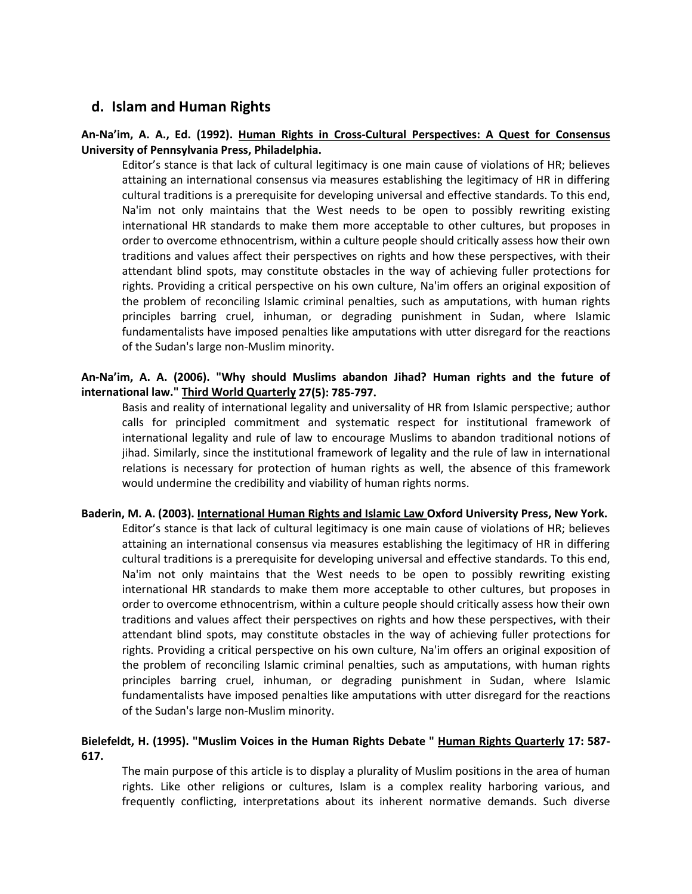## **d. Islam and Human Rights**

#### **An-Na'im, A. A., Ed. (1992). Human Rights in Cross-Cultural Perspectives: A Quest for Consensus University of Pennsylvania Press, Philadelphia.**

Editor's stance is that lack of cultural legitimacy is one main cause of violations of HR; believes attaining an international consensus via measures establishing the legitimacy of HR in differing cultural traditions is a prerequisite for developing universal and effective standards. To this end, Na'im not only maintains that the West needs to be open to possibly rewriting existing international HR standards to make them more acceptable to other cultures, but proposes in order to overcome ethnocentrism, within a culture people should critically assess how their own traditions and values affect their perspectives on rights and how these perspectives, with their attendant blind spots, may constitute obstacles in the way of achieving fuller protections for rights. Providing a critical perspective on his own culture, Na'im offers an original exposition of the problem of reconciling Islamic criminal penalties, such as amputations, with human rights principles barring cruel, inhuman, or degrading punishment in Sudan, where Islamic fundamentalists have imposed penalties like amputations with utter disregard for the reactions of the Sudan's large non-Muslim minority.

#### **An-Na'im, A. A. (2006). "Why should Muslims abandon Jihad? Human rights and the future of international law." Third World Quarterly 27(5): 785-797.**

Basis and reality of international legality and universality of HR from Islamic perspective; author calls for principled commitment and systematic respect for institutional framework of international legality and rule of law to encourage Muslims to abandon traditional notions of jihad. Similarly, since the institutional framework of legality and the rule of law in international relations is necessary for protection of human rights as well, the absence of this framework would undermine the credibility and viability of human rights norms.

#### **Baderin, M. A. (2003). International Human Rights and Islamic Law Oxford University Press, New York.** Editor's stance is that lack of cultural legitimacy is one main cause of violations of HR; believes attaining an international consensus via measures establishing the legitimacy of HR in differing cultural traditions is a prerequisite for developing universal and effective standards. To this end, Na'im not only maintains that the West needs to be open to possibly rewriting existing international HR standards to make them more acceptable to other cultures, but proposes in order to overcome ethnocentrism, within a culture people should critically assess how their own traditions and values affect their perspectives on rights and how these perspectives, with their attendant blind spots, may constitute obstacles in the way of achieving fuller protections for rights. Providing a critical perspective on his own culture, Na'im offers an original exposition of the problem of reconciling Islamic criminal penalties, such as amputations, with human rights principles barring cruel, inhuman, or degrading punishment in Sudan, where Islamic fundamentalists have imposed penalties like amputations with utter disregard for the reactions of the Sudan's large non-Muslim minority.

#### **Bielefeldt, H. (1995). "Muslim Voices in the Human Rights Debate " Human Rights Quarterly 17: 587- 617.**

The main purpose of this article is to display a plurality of Muslim positions in the area of human rights. Like other religions or cultures, Islam is a complex reality harboring various, and frequently conflicting, interpretations about its inherent normative demands. Such diverse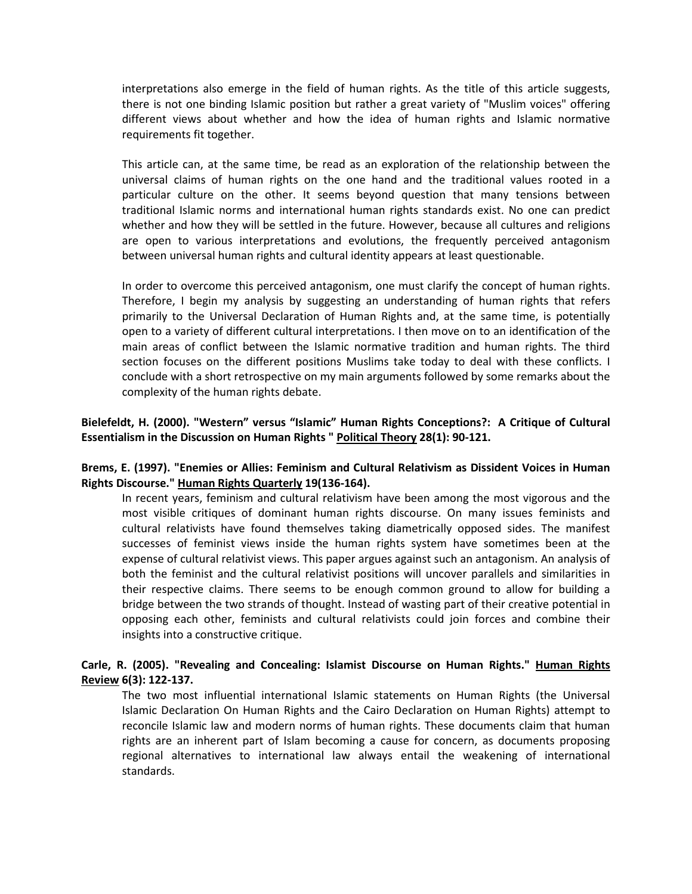interpretations also emerge in the field of human rights. As the title of this article suggests, there is not one binding Islamic position but rather a great variety of "Muslim voices" offering different views about whether and how the idea of human rights and Islamic normative requirements fit together.

This article can, at the same time, be read as an exploration of the relationship between the universal claims of human rights on the one hand and the traditional values rooted in a particular culture on the other. It seems beyond question that many tensions between traditional Islamic norms and international human rights standards exist. No one can predict whether and how they will be settled in the future. However, because all cultures and religions are open to various interpretations and evolutions, the frequently perceived antagonism between universal human rights and cultural identity appears at least questionable.

In order to overcome this perceived antagonism, one must clarify the concept of human rights. Therefore, I begin my analysis by suggesting an understanding of human rights that refers primarily to the Universal Declaration of Human Rights and, at the same time, is potentially open to a variety of different cultural interpretations. I then move on to an identification of the main areas of conflict between the Islamic normative tradition and human rights. The third section focuses on the different positions Muslims take today to deal with these conflicts. I conclude with a short retrospective on my main arguments followed by some remarks about the complexity of the human rights debate.

#### **Bielefeldt, H. (2000). "Western" versus "Islamic" Human Rights Conceptions?: A Critique of Cultural Essentialism in the Discussion on Human Rights " Political Theory 28(1): 90-121.**

#### **Brems, E. (1997). "Enemies or Allies: Feminism and Cultural Relativism as Dissident Voices in Human Rights Discourse." Human Rights Quarterly 19(136-164).**

In recent years, feminism and cultural relativism have been among the most vigorous and the most visible critiques of dominant human rights discourse. On many issues feminists and cultural relativists have found themselves taking diametrically opposed sides. The manifest successes of feminist views inside the human rights system have sometimes been at the expense of cultural relativist views. This paper argues against such an antagonism. An analysis of both the feminist and the cultural relativist positions will uncover parallels and similarities in their respective claims. There seems to be enough common ground to allow for building a bridge between the two strands of thought. Instead of wasting part of their creative potential in opposing each other, feminists and cultural relativists could join forces and combine their insights into a constructive critique.

#### **Carle, R. (2005). "Revealing and Concealing: Islamist Discourse on Human Rights." Human Rights Review 6(3): 122-137.**

The two most influential international Islamic statements on Human Rights (the Universal Islamic Declaration On Human Rights and the Cairo Declaration on Human Rights) attempt to reconcile Islamic law and modern norms of human rights. These documents claim that human rights are an inherent part of Islam becoming a cause for concern, as documents proposing regional alternatives to international law always entail the weakening of international standards.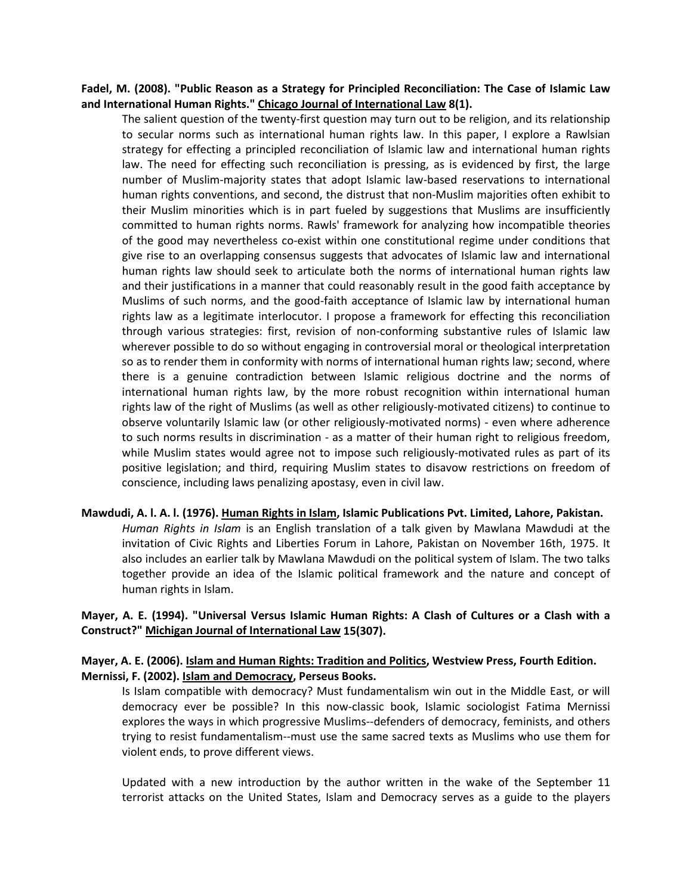#### **Fadel, M. (2008). "Public Reason as a Strategy for Principled Reconciliation: The Case of Islamic Law and International Human Rights." Chicago Journal of International Law 8(1).**

The salient question of the twenty-first question may turn out to be religion, and its relationship to secular norms such as international human rights law. In this paper, I explore a Rawlsian strategy for effecting a principled reconciliation of Islamic law and international human rights law. The need for effecting such reconciliation is pressing, as is evidenced by first, the large number of Muslim-majority states that adopt Islamic law-based reservations to international human rights conventions, and second, the distrust that non-Muslim majorities often exhibit to their Muslim minorities which is in part fueled by suggestions that Muslims are insufficiently committed to human rights norms. Rawls' framework for analyzing how incompatible theories of the good may nevertheless co-exist within one constitutional regime under conditions that give rise to an overlapping consensus suggests that advocates of Islamic law and international human rights law should seek to articulate both the norms of international human rights law and their justifications in a manner that could reasonably result in the good faith acceptance by Muslims of such norms, and the good-faith acceptance of Islamic law by international human rights law as a legitimate interlocutor. I propose a framework for effecting this reconciliation through various strategies: first, revision of non-conforming substantive rules of Islamic law wherever possible to do so without engaging in controversial moral or theological interpretation so as to render them in conformity with norms of international human rights law; second, where there is a genuine contradiction between Islamic religious doctrine and the norms of international human rights law, by the more robust recognition within international human rights law of the right of Muslims (as well as other religiously-motivated citizens) to continue to observe voluntarily Islamic law (or other religiously-motivated norms) - even where adherence to such norms results in discrimination - as a matter of their human right to religious freedom, while Muslim states would agree not to impose such religiously-motivated rules as part of its positive legislation; and third, requiring Muslim states to disavow restrictions on freedom of conscience, including laws penalizing apostasy, even in civil law.

#### **Mawdudi, A. l. A. l. (1976). Human Rights in Islam, Islamic Publications Pvt. Limited, Lahore, Pakistan.** *Human Rights in Islam* is an English translation of a talk given by Mawlana Mawdudi at the invitation of Civic Rights and Liberties Forum in Lahore, Pakistan on November 16th, 1975. It also includes an earlier talk by Mawlana Mawdudi on the political system of Islam. The two talks together provide an idea of the Islamic political framework and the nature and concept of human rights in Islam.

#### **Mayer, A. E. (1994). "Universal Versus Islamic Human Rights: A Clash of Cultures or a Clash with a Construct?" Michigan Journal of International Law 15(307).**

#### **Mayer, A. E. (2006). Islam and Human Rights: Tradition and Politics, Westview Press, Fourth Edition. Mernissi, F. (2002). Islam and Democracy, Perseus Books.**

Is Islam compatible with democracy? Must fundamentalism win out in the Middle East, or will democracy ever be possible? In this now-classic book, Islamic sociologist Fatima Mernissi explores the ways in which progressive Muslims--defenders of democracy, feminists, and others trying to resist fundamentalism--must use the same sacred texts as Muslims who use them for violent ends, to prove different views.

Updated with a new introduction by the author written in the wake of the September 11 terrorist attacks on the United States, Islam and Democracy serves as a guide to the players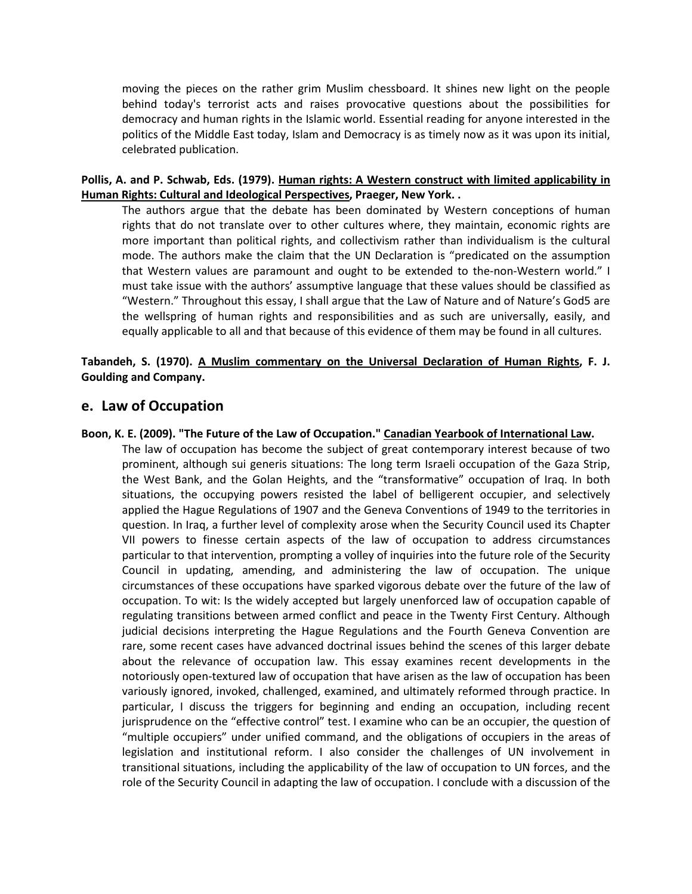moving the pieces on the rather grim Muslim chessboard. It shines new light on the people behind today's terrorist acts and raises provocative questions about the possibilities for democracy and human rights in the Islamic world. Essential reading for anyone interested in the politics of the Middle East today, Islam and Democracy is as timely now as it was upon its initial, celebrated publication.

#### **Pollis, A. and P. Schwab, Eds. (1979). Human rights: A Western construct with limited applicability in Human Rights: Cultural and Ideological Perspectives, Praeger, New York. .**

The authors argue that the debate has been dominated by Western conceptions of human rights that do not translate over to other cultures where, they maintain, economic rights are more important than political rights, and collectivism rather than individualism is the cultural mode. The authors make the claim that the UN Declaration is "predicated on the assumption that Western values are paramount and ought to be extended to the-non-Western world." I must take issue with the authors' assumptive language that these values should be classified as "Western." Throughout this essay, I shall argue that the Law of Nature and of Nature's God5 are the wellspring of human rights and responsibilities and as such are universally, easily, and equally applicable to all and that because of this evidence of them may be found in all cultures.

#### **Tabandeh, S. (1970). A Muslim commentary on the Universal Declaration of Human Rights, F. J. Goulding and Company.**

#### **e. Law of Occupation**

#### **Boon, K. E. (2009). "The Future of the Law of Occupation." Canadian Yearbook of International Law.**

The law of occupation has become the subject of great contemporary interest because of two prominent, although sui generis situations: The long term Israeli occupation of the Gaza Strip, the West Bank, and the Golan Heights, and the "transformative" occupation of Iraq. In both situations, the occupying powers resisted the label of belligerent occupier, and selectively applied the Hague Regulations of 1907 and the Geneva Conventions of 1949 to the territories in question. In Iraq, a further level of complexity arose when the Security Council used its Chapter VII powers to finesse certain aspects of the law of occupation to address circumstances particular to that intervention, prompting a volley of inquiries into the future role of the Security Council in updating, amending, and administering the law of occupation. The unique circumstances of these occupations have sparked vigorous debate over the future of the law of occupation. To wit: Is the widely accepted but largely unenforced law of occupation capable of regulating transitions between armed conflict and peace in the Twenty First Century. Although judicial decisions interpreting the Hague Regulations and the Fourth Geneva Convention are rare, some recent cases have advanced doctrinal issues behind the scenes of this larger debate about the relevance of occupation law. This essay examines recent developments in the notoriously open-textured law of occupation that have arisen as the law of occupation has been variously ignored, invoked, challenged, examined, and ultimately reformed through practice. In particular, I discuss the triggers for beginning and ending an occupation, including recent jurisprudence on the "effective control" test. I examine who can be an occupier, the question of "multiple occupiers" under unified command, and the obligations of occupiers in the areas of legislation and institutional reform. I also consider the challenges of UN involvement in transitional situations, including the applicability of the law of occupation to UN forces, and the role of the Security Council in adapting the law of occupation. I conclude with a discussion of the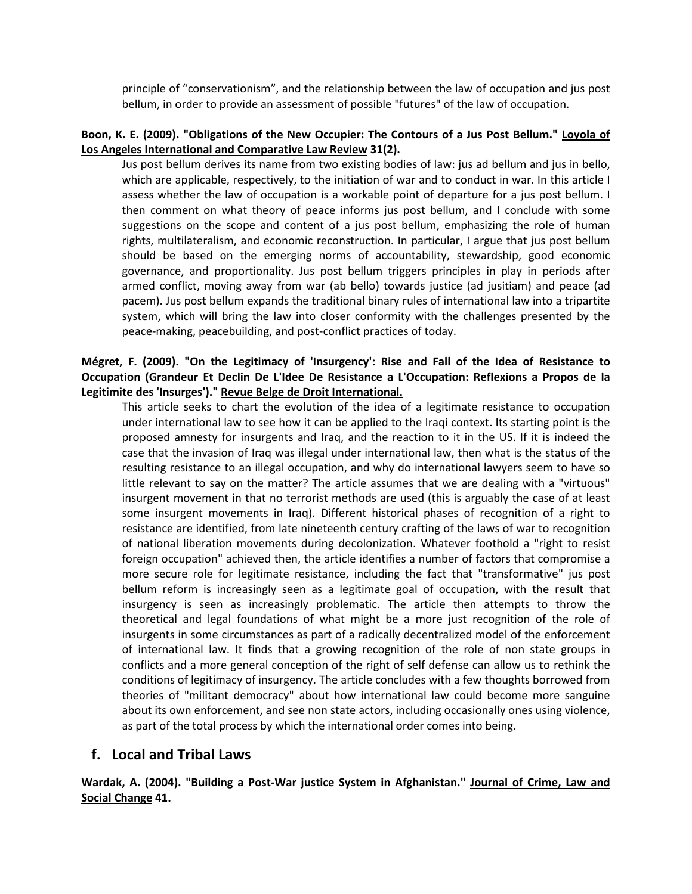principle of "conservationism", and the relationship between the law of occupation and jus post bellum, in order to provide an assessment of possible "futures" of the law of occupation.

#### **Boon, K. E. (2009). "Obligations of the New Occupier: The Contours of a Jus Post Bellum." Loyola of Los Angeles International and Comparative Law Review 31(2).**

Jus post bellum derives its name from two existing bodies of law: jus ad bellum and jus in bello, which are applicable, respectively, to the initiation of war and to conduct in war. In this article I assess whether the law of occupation is a workable point of departure for a jus post bellum. I then comment on what theory of peace informs jus post bellum, and I conclude with some suggestions on the scope and content of a jus post bellum, emphasizing the role of human rights, multilateralism, and economic reconstruction. In particular, I argue that jus post bellum should be based on the emerging norms of accountability, stewardship, good economic governance, and proportionality. Jus post bellum triggers principles in play in periods after armed conflict, moving away from war (ab bello) towards justice (ad jusitiam) and peace (ad pacem). Jus post bellum expands the traditional binary rules of international law into a tripartite system, which will bring the law into closer conformity with the challenges presented by the peace-making, peacebuilding, and post-conflict practices of today.

#### **Mégret, F. (2009). "On the Legitimacy of 'Insurgency': Rise and Fall of the Idea of Resistance to Occupation (Grandeur Et Declin De L'Idee De Resistance a L'Occupation: Reflexions a Propos de la Legitimite des 'Insurges')." Revue Belge de Droit International.**

This article seeks to chart the evolution of the idea of a legitimate resistance to occupation under international law to see how it can be applied to the Iraqi context. Its starting point is the proposed amnesty for insurgents and Iraq, and the reaction to it in the US. If it is indeed the case that the invasion of Iraq was illegal under international law, then what is the status of the resulting resistance to an illegal occupation, and why do international lawyers seem to have so little relevant to say on the matter? The article assumes that we are dealing with a "virtuous" insurgent movement in that no terrorist methods are used (this is arguably the case of at least some insurgent movements in Iraq). Different historical phases of recognition of a right to resistance are identified, from late nineteenth century crafting of the laws of war to recognition of national liberation movements during decolonization. Whatever foothold a "right to resist foreign occupation" achieved then, the article identifies a number of factors that compromise a more secure role for legitimate resistance, including the fact that "transformative" jus post bellum reform is increasingly seen as a legitimate goal of occupation, with the result that insurgency is seen as increasingly problematic. The article then attempts to throw the theoretical and legal foundations of what might be a more just recognition of the role of insurgents in some circumstances as part of a radically decentralized model of the enforcement of international law. It finds that a growing recognition of the role of non state groups in conflicts and a more general conception of the right of self defense can allow us to rethink the conditions of legitimacy of insurgency. The article concludes with a few thoughts borrowed from theories of "militant democracy" about how international law could become more sanguine about its own enforcement, and see non state actors, including occasionally ones using violence, as part of the total process by which the international order comes into being.

## **f. Local and Tribal Laws**

**Wardak, A. (2004). "Building a Post-War justice System in Afghanistan." Journal of Crime, Law and Social Change 41.**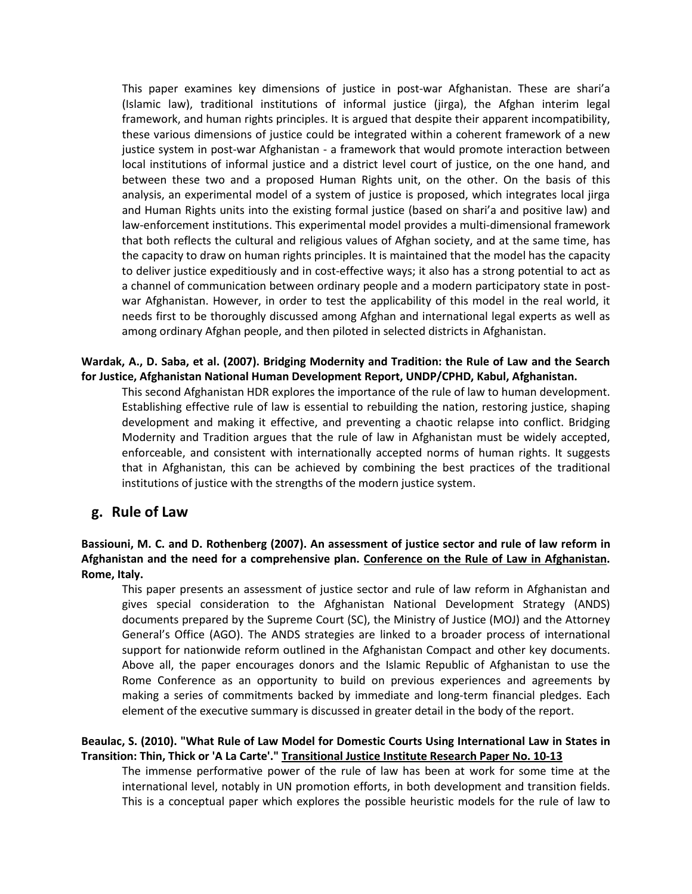This paper examines key dimensions of justice in post-war Afghanistan. These are shari'a (Islamic law), traditional institutions of informal justice (jirga), the Afghan interim legal framework, and human rights principles. It is argued that despite their apparent incompatibility, these various dimensions of justice could be integrated within a coherent framework of a new justice system in post-war Afghanistan - a framework that would promote interaction between local institutions of informal justice and a district level court of justice, on the one hand, and between these two and a proposed Human Rights unit, on the other. On the basis of this analysis, an experimental model of a system of justice is proposed, which integrates local jirga and Human Rights units into the existing formal justice (based on shari'a and positive law) and law-enforcement institutions. This experimental model provides a multi-dimensional framework that both reflects the cultural and religious values of Afghan society, and at the same time, has the capacity to draw on human rights principles. It is maintained that the model has the capacity to deliver justice expeditiously and in cost-effective ways; it also has a strong potential to act as a channel of communication between ordinary people and a modern participatory state in postwar Afghanistan. However, in order to test the applicability of this model in the real world, it needs first to be thoroughly discussed among Afghan and international legal experts as well as among ordinary Afghan people, and then piloted in selected districts in Afghanistan.

#### **Wardak, A., D. Saba, et al. (2007). Bridging Modernity and Tradition: the Rule of Law and the Search for Justice, Afghanistan National Human Development Report, UNDP/CPHD, Kabul, Afghanistan.**

This second Afghanistan HDR explores the importance of the rule of law to human development. Establishing effective rule of law is essential to rebuilding the nation, restoring justice, shaping development and making it effective, and preventing a chaotic relapse into conflict. Bridging Modernity and Tradition argues that the rule of law in Afghanistan must be widely accepted, enforceable, and consistent with internationally accepted norms of human rights. It suggests that in Afghanistan, this can be achieved by combining the best practices of the traditional institutions of justice with the strengths of the modern justice system.

## **g. Rule of Law**

#### **Bassiouni, M. C. and D. Rothenberg (2007). An assessment of justice sector and rule of law reform in Afghanistan and the need for a comprehensive plan. Conference on the Rule of Law in Afghanistan. Rome, Italy.**

This paper presents an assessment of justice sector and rule of law reform in Afghanistan and gives special consideration to the Afghanistan National Development Strategy (ANDS) documents prepared by the Supreme Court (SC), the Ministry of Justice (MOJ) and the Attorney General's Office (AGO). The ANDS strategies are linked to a broader process of international support for nationwide reform outlined in the Afghanistan Compact and other key documents. Above all, the paper encourages donors and the Islamic Republic of Afghanistan to use the Rome Conference as an opportunity to build on previous experiences and agreements by making a series of commitments backed by immediate and long-term financial pledges. Each element of the executive summary is discussed in greater detail in the body of the report.

#### **Beaulac, S. (2010). "What Rule of Law Model for Domestic Courts Using International Law in States in Transition: Thin, Thick or 'A La Carte'." Transitional Justice Institute Research Paper No. 10-13**

The immense performative power of the rule of law has been at work for some time at the international level, notably in UN promotion efforts, in both development and transition fields. This is a conceptual paper which explores the possible heuristic models for the rule of law to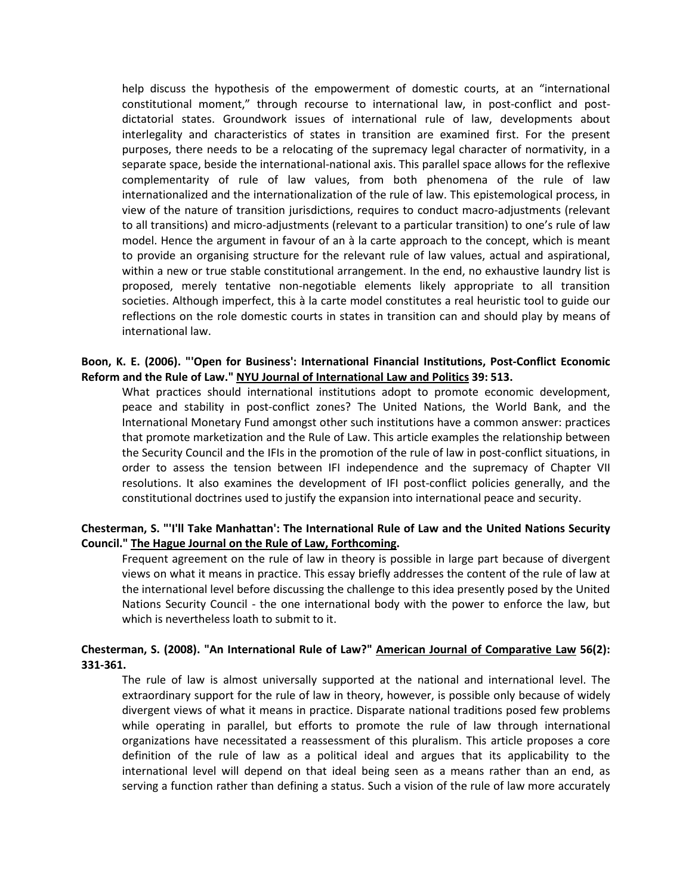help discuss the hypothesis of the empowerment of domestic courts, at an "international constitutional moment," through recourse to international law, in post-conflict and postdictatorial states. Groundwork issues of international rule of law, developments about interlegality and characteristics of states in transition are examined first. For the present purposes, there needs to be a relocating of the supremacy legal character of normativity, in a separate space, beside the international-national axis. This parallel space allows for the reflexive complementarity of rule of law values, from both phenomena of the rule of law internationalized and the internationalization of the rule of law. This epistemological process, in view of the nature of transition jurisdictions, requires to conduct macro-adjustments (relevant to all transitions) and micro-adjustments (relevant to a particular transition) to one's rule of law model. Hence the argument in favour of an à la carte approach to the concept, which is meant to provide an organising structure for the relevant rule of law values, actual and aspirational, within a new or true stable constitutional arrangement. In the end, no exhaustive laundry list is proposed, merely tentative non-negotiable elements likely appropriate to all transition societies. Although imperfect, this à la carte model constitutes a real heuristic tool to guide our reflections on the role domestic courts in states in transition can and should play by means of international law.

#### **Boon, K. E. (2006). "'Open for Business': International Financial Institutions, Post-Conflict Economic Reform and the Rule of Law." NYU Journal of International Law and Politics 39: 513.**

What practices should international institutions adopt to promote economic development, peace and stability in post-conflict zones? The United Nations, the World Bank, and the International Monetary Fund amongst other such institutions have a common answer: practices that promote marketization and the Rule of Law. This article examples the relationship between the Security Council and the IFIs in the promotion of the rule of law in post-conflict situations, in order to assess the tension between IFI independence and the supremacy of Chapter VII resolutions. It also examines the development of IFI post-conflict policies generally, and the constitutional doctrines used to justify the expansion into international peace and security.

#### **Chesterman, S. "'I'll Take Manhattan': The International Rule of Law and the United Nations Security Council." The Hague Journal on the Rule of Law, Forthcoming.**

Frequent agreement on the rule of law in theory is possible in large part because of divergent views on what it means in practice. This essay briefly addresses the content of the rule of law at the international level before discussing the challenge to this idea presently posed by the United Nations Security Council - the one international body with the power to enforce the law, but which is nevertheless loath to submit to it.

#### **Chesterman, S. (2008). "An International Rule of Law?" American Journal of Comparative Law 56(2): 331-361.**

The rule of law is almost universally supported at the national and international level. The extraordinary support for the rule of law in theory, however, is possible only because of widely divergent views of what it means in practice. Disparate national traditions posed few problems while operating in parallel, but efforts to promote the rule of law through international organizations have necessitated a reassessment of this pluralism. This article proposes a core definition of the rule of law as a political ideal and argues that its applicability to the international level will depend on that ideal being seen as a means rather than an end, as serving a function rather than defining a status. Such a vision of the rule of law more accurately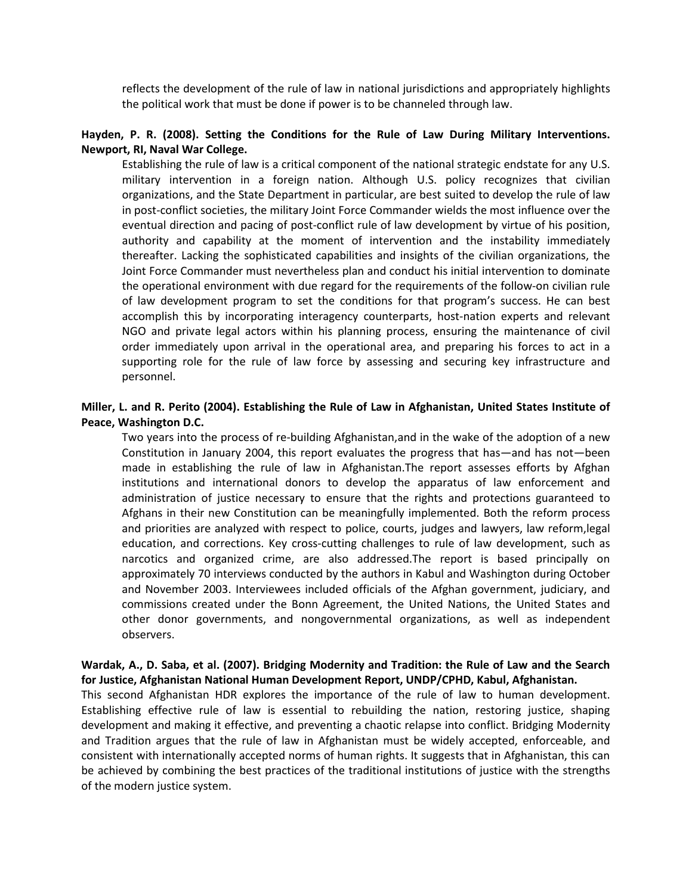reflects the development of the rule of law in national jurisdictions and appropriately highlights the political work that must be done if power is to be channeled through law.

#### **Hayden, P. R. (2008). Setting the Conditions for the Rule of Law During Military Interventions. Newport, RI, Naval War College.**

Establishing the rule of law is a critical component of the national strategic endstate for any U.S. military intervention in a foreign nation. Although U.S. policy recognizes that civilian organizations, and the State Department in particular, are best suited to develop the rule of law in post-conflict societies, the military Joint Force Commander wields the most influence over the eventual direction and pacing of post-conflict rule of law development by virtue of his position, authority and capability at the moment of intervention and the instability immediately thereafter. Lacking the sophisticated capabilities and insights of the civilian organizations, the Joint Force Commander must nevertheless plan and conduct his initial intervention to dominate the operational environment with due regard for the requirements of the follow-on civilian rule of law development program to set the conditions for that program's success. He can best accomplish this by incorporating interagency counterparts, host-nation experts and relevant NGO and private legal actors within his planning process, ensuring the maintenance of civil order immediately upon arrival in the operational area, and preparing his forces to act in a supporting role for the rule of law force by assessing and securing key infrastructure and personnel.

#### **Miller, L. and R. Perito (2004). Establishing the Rule of Law in Afghanistan, United States Institute of Peace, Washington D.C.**

Two years into the process of re-building Afghanistan,and in the wake of the adoption of a new Constitution in January 2004, this report evaluates the progress that has—and has not—been made in establishing the rule of law in Afghanistan.The report assesses efforts by Afghan institutions and international donors to develop the apparatus of law enforcement and administration of justice necessary to ensure that the rights and protections guaranteed to Afghans in their new Constitution can be meaningfully implemented. Both the reform process and priorities are analyzed with respect to police, courts, judges and lawyers, law reform,legal education, and corrections. Key cross-cutting challenges to rule of law development, such as narcotics and organized crime, are also addressed.The report is based principally on approximately 70 interviews conducted by the authors in Kabul and Washington during October and November 2003. Interviewees included officials of the Afghan government, judiciary, and commissions created under the Bonn Agreement, the United Nations, the United States and other donor governments, and nongovernmental organizations, as well as independent observers.

#### **Wardak, A., D. Saba, et al. (2007). Bridging Modernity and Tradition: the Rule of Law and the Search for Justice, Afghanistan National Human Development Report, UNDP/CPHD, Kabul, Afghanistan.**

This second Afghanistan HDR explores the importance of the rule of law to human development. Establishing effective rule of law is essential to rebuilding the nation, restoring justice, shaping development and making it effective, and preventing a chaotic relapse into conflict. Bridging Modernity and Tradition argues that the rule of law in Afghanistan must be widely accepted, enforceable, and consistent with internationally accepted norms of human rights. It suggests that in Afghanistan, this can be achieved by combining the best practices of the traditional institutions of justice with the strengths of the modern justice system.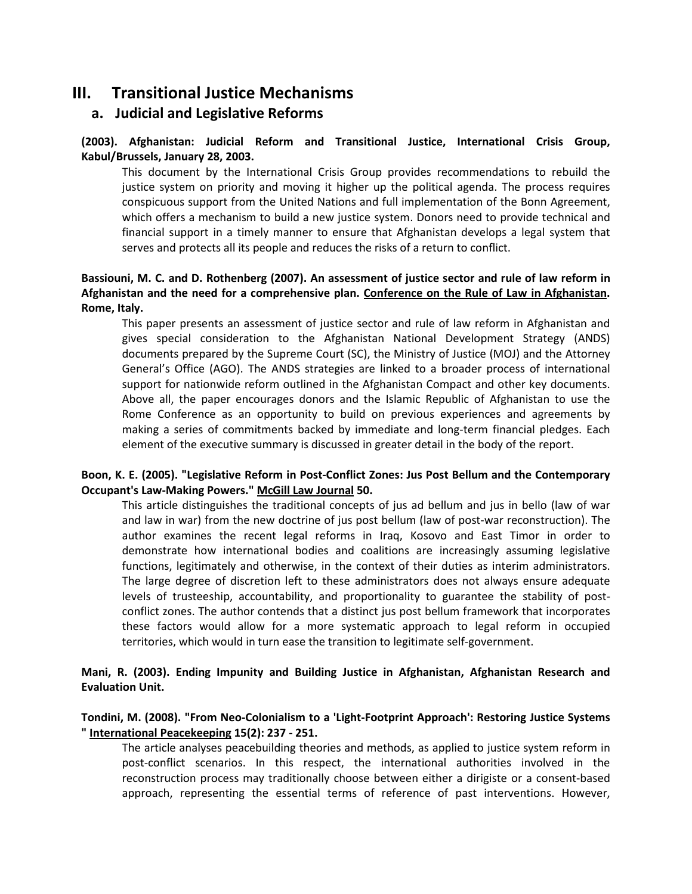## **III. Transitional Justice Mechanisms**

## **a. Judicial and Legislative Reforms**

#### **(2003). Afghanistan: Judicial Reform and Transitional Justice, International Crisis Group, Kabul/Brussels, January 28, 2003.**

This document by the International Crisis Group provides recommendations to rebuild the justice system on priority and moving it higher up the political agenda. The process requires conspicuous support from the United Nations and full implementation of the Bonn Agreement, which offers a mechanism to build a new justice system. Donors need to provide technical and financial support in a timely manner to ensure that Afghanistan develops a legal system that serves and protects all its people and reduces the risks of a return to conflict.

#### **Bassiouni, M. C. and D. Rothenberg (2007). An assessment of justice sector and rule of law reform in Afghanistan and the need for a comprehensive plan. Conference on the Rule of Law in Afghanistan. Rome, Italy.**

This paper presents an assessment of justice sector and rule of law reform in Afghanistan and gives special consideration to the Afghanistan National Development Strategy (ANDS) documents prepared by the Supreme Court (SC), the Ministry of Justice (MOJ) and the Attorney General's Office (AGO). The ANDS strategies are linked to a broader process of international support for nationwide reform outlined in the Afghanistan Compact and other key documents. Above all, the paper encourages donors and the Islamic Republic of Afghanistan to use the Rome Conference as an opportunity to build on previous experiences and agreements by making a series of commitments backed by immediate and long-term financial pledges. Each element of the executive summary is discussed in greater detail in the body of the report.

#### **Boon, K. E. (2005). "Legislative Reform in Post-Conflict Zones: Jus Post Bellum and the Contemporary Occupant's Law-Making Powers." McGill Law Journal 50.**

This article distinguishes the traditional concepts of jus ad bellum and jus in bello (law of war and law in war) from the new doctrine of jus post bellum (law of post-war reconstruction). The author examines the recent legal reforms in Iraq, Kosovo and East Timor in order to demonstrate how international bodies and coalitions are increasingly assuming legislative functions, legitimately and otherwise, in the context of their duties as interim administrators. The large degree of discretion left to these administrators does not always ensure adequate levels of trusteeship, accountability, and proportionality to guarantee the stability of postconflict zones. The author contends that a distinct jus post bellum framework that incorporates these factors would allow for a more systematic approach to legal reform in occupied territories, which would in turn ease the transition to legitimate self-government.

#### **Mani, R. (2003). Ending Impunity and Building Justice in Afghanistan, Afghanistan Research and Evaluation Unit.**

#### **Tondini, M. (2008). "From Neo-Colonialism to a 'Light-Footprint Approach': Restoring Justice Systems " International Peacekeeping 15(2): 237 - 251.**

The article analyses peacebuilding theories and methods, as applied to justice system reform in post-conflict scenarios. In this respect, the international authorities involved in the reconstruction process may traditionally choose between either a dirigiste or a consent-based approach, representing the essential terms of reference of past interventions. However,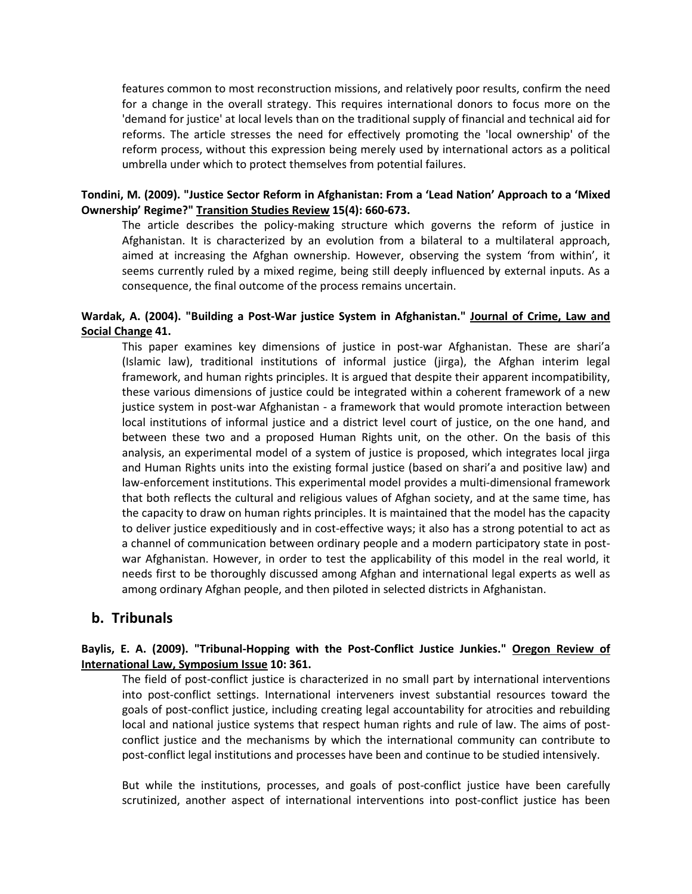features common to most reconstruction missions, and relatively poor results, confirm the need for a change in the overall strategy. This requires international donors to focus more on the 'demand for justice' at local levels than on the traditional supply of financial and technical aid for reforms. The article stresses the need for effectively promoting the 'local ownership' of the reform process, without this expression being merely used by international actors as a political umbrella under which to protect themselves from potential failures.

#### **Tondini, M. (2009). "Justice Sector Reform in Afghanistan: From a 'Lead Nation' Approach to a 'Mixed Ownership' Regime?" Transition Studies Review 15(4): 660-673.**

The article describes the policy-making structure which governs the reform of justice in Afghanistan. It is characterized by an evolution from a bilateral to a multilateral approach, aimed at increasing the Afghan ownership. However, observing the system 'from within', it seems currently ruled by a mixed regime, being still deeply influenced by external inputs. As a consequence, the final outcome of the process remains uncertain.

#### **Wardak, A. (2004). "Building a Post-War justice System in Afghanistan." Journal of Crime, Law and Social Change 41.**

This paper examines key dimensions of justice in post-war Afghanistan. These are shari'a (Islamic law), traditional institutions of informal justice (jirga), the Afghan interim legal framework, and human rights principles. It is argued that despite their apparent incompatibility, these various dimensions of justice could be integrated within a coherent framework of a new justice system in post-war Afghanistan - a framework that would promote interaction between local institutions of informal justice and a district level court of justice, on the one hand, and between these two and a proposed Human Rights unit, on the other. On the basis of this analysis, an experimental model of a system of justice is proposed, which integrates local jirga and Human Rights units into the existing formal justice (based on shari'a and positive law) and law-enforcement institutions. This experimental model provides a multi-dimensional framework that both reflects the cultural and religious values of Afghan society, and at the same time, has the capacity to draw on human rights principles. It is maintained that the model has the capacity to deliver justice expeditiously and in cost-effective ways; it also has a strong potential to act as a channel of communication between ordinary people and a modern participatory state in postwar Afghanistan. However, in order to test the applicability of this model in the real world, it needs first to be thoroughly discussed among Afghan and international legal experts as well as among ordinary Afghan people, and then piloted in selected districts in Afghanistan.

## **b. Tribunals**

#### **Baylis, E. A. (2009). "Tribunal-Hopping with the Post-Conflict Justice Junkies." Oregon Review of International Law, Symposium Issue 10: 361.**

The field of post-conflict justice is characterized in no small part by international interventions into post-conflict settings. International interveners invest substantial resources toward the goals of post-conflict justice, including creating legal accountability for atrocities and rebuilding local and national justice systems that respect human rights and rule of law. The aims of postconflict justice and the mechanisms by which the international community can contribute to post-conflict legal institutions and processes have been and continue to be studied intensively.

But while the institutions, processes, and goals of post-conflict justice have been carefully scrutinized, another aspect of international interventions into post-conflict justice has been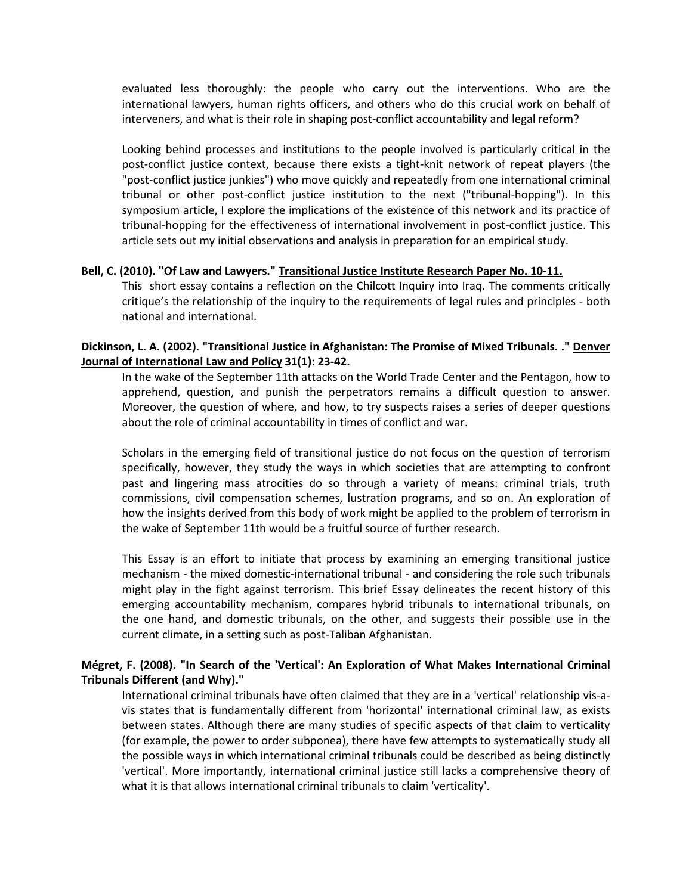evaluated less thoroughly: the people who carry out the interventions. Who are the international lawyers, human rights officers, and others who do this crucial work on behalf of interveners, and what is their role in shaping post-conflict accountability and legal reform?

Looking behind processes and institutions to the people involved is particularly critical in the post-conflict justice context, because there exists a tight-knit network of repeat players (the "post-conflict justice junkies") who move quickly and repeatedly from one international criminal tribunal or other post-conflict justice institution to the next ("tribunal-hopping"). In this symposium article, I explore the implications of the existence of this network and its practice of tribunal-hopping for the effectiveness of international involvement in post-conflict justice. This article sets out my initial observations and analysis in preparation for an empirical study.

#### **Bell, C. (2010). "Of Law and Lawyers." Transitional Justice Institute Research Paper No. 10-11.**

This short essay contains a reflection on the Chilcott Inquiry into Iraq. The comments critically critique's the relationship of the inquiry to the requirements of legal rules and principles - both national and international.

#### **Dickinson, L. A. (2002). "Transitional Justice in Afghanistan: The Promise of Mixed Tribunals. ." Denver Journal of International Law and Policy 31(1): 23-42.**

In the wake of the September 11th attacks on the World Trade Center and the Pentagon, how to apprehend, question, and punish the perpetrators remains a difficult question to answer. Moreover, the question of where, and how, to try suspects raises a series of deeper questions about the role of criminal accountability in times of conflict and war.

Scholars in the emerging field of transitional justice do not focus on the question of terrorism specifically, however, they study the ways in which societies that are attempting to confront past and lingering mass atrocities do so through a variety of means: criminal trials, truth commissions, civil compensation schemes, lustration programs, and so on. An exploration of how the insights derived from this body of work might be applied to the problem of terrorism in the wake of September 11th would be a fruitful source of further research.

This Essay is an effort to initiate that process by examining an emerging transitional justice mechanism - the mixed domestic-international tribunal - and considering the role such tribunals might play in the fight against terrorism. This brief Essay delineates the recent history of this emerging accountability mechanism, compares hybrid tribunals to international tribunals, on the one hand, and domestic tribunals, on the other, and suggests their possible use in the current climate, in a setting such as post-Taliban Afghanistan.

#### **Mégret, F. (2008). "In Search of the 'Vertical': An Exploration of What Makes International Criminal Tribunals Different (and Why)."**

International criminal tribunals have often claimed that they are in a 'vertical' relationship vis-avis states that is fundamentally different from 'horizontal' international criminal law, as exists between states. Although there are many studies of specific aspects of that claim to verticality (for example, the power to order subponea), there have few attempts to systematically study all the possible ways in which international criminal tribunals could be described as being distinctly 'vertical'. More importantly, international criminal justice still lacks a comprehensive theory of what it is that allows international criminal tribunals to claim 'verticality'.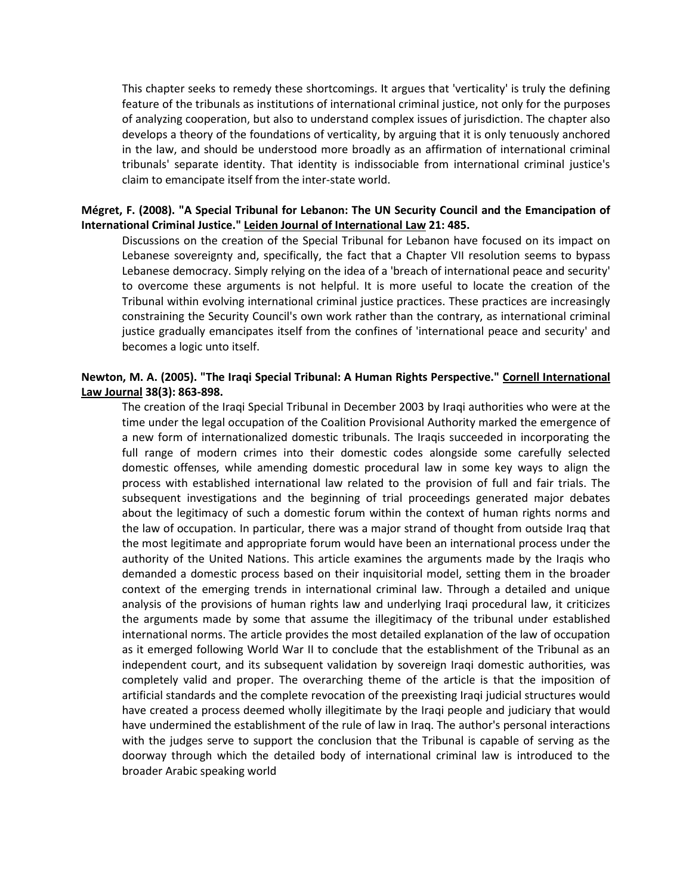This chapter seeks to remedy these shortcomings. It argues that 'verticality' is truly the defining feature of the tribunals as institutions of international criminal justice, not only for the purposes of analyzing cooperation, but also to understand complex issues of jurisdiction. The chapter also develops a theory of the foundations of verticality, by arguing that it is only tenuously anchored in the law, and should be understood more broadly as an affirmation of international criminal tribunals' separate identity. That identity is indissociable from international criminal justice's claim to emancipate itself from the inter-state world.

#### **Mégret, F. (2008). "A Special Tribunal for Lebanon: The UN Security Council and the Emancipation of International Criminal Justice." Leiden Journal of International Law 21: 485.**

Discussions on the creation of the Special Tribunal for Lebanon have focused on its impact on Lebanese sovereignty and, specifically, the fact that a Chapter VII resolution seems to bypass Lebanese democracy. Simply relying on the idea of a 'breach of international peace and security' to overcome these arguments is not helpful. It is more useful to locate the creation of the Tribunal within evolving international criminal justice practices. These practices are increasingly constraining the Security Council's own work rather than the contrary, as international criminal justice gradually emancipates itself from the confines of 'international peace and security' and becomes a logic unto itself.

#### **Newton, M. A. (2005). "The Iraqi Special Tribunal: A Human Rights Perspective." Cornell International Law Journal 38(3): 863-898.**

The creation of the Iraqi Special Tribunal in December 2003 by Iraqi authorities who were at the time under the legal occupation of the Coalition Provisional Authority marked the emergence of a new form of internationalized domestic tribunals. The Iraqis succeeded in incorporating the full range of modern crimes into their domestic codes alongside some carefully selected domestic offenses, while amending domestic procedural law in some key ways to align the process with established international law related to the provision of full and fair trials. The subsequent investigations and the beginning of trial proceedings generated major debates about the legitimacy of such a domestic forum within the context of human rights norms and the law of occupation. In particular, there was a major strand of thought from outside Iraq that the most legitimate and appropriate forum would have been an international process under the authority of the United Nations. This article examines the arguments made by the Iraqis who demanded a domestic process based on their inquisitorial model, setting them in the broader context of the emerging trends in international criminal law. Through a detailed and unique analysis of the provisions of human rights law and underlying Iraqi procedural law, it criticizes the arguments made by some that assume the illegitimacy of the tribunal under established international norms. The article provides the most detailed explanation of the law of occupation as it emerged following World War II to conclude that the establishment of the Tribunal as an independent court, and its subsequent validation by sovereign Iraqi domestic authorities, was completely valid and proper. The overarching theme of the article is that the imposition of artificial standards and the complete revocation of the preexisting Iraqi judicial structures would have created a process deemed wholly illegitimate by the Iraqi people and judiciary that would have undermined the establishment of the rule of law in Iraq. The author's personal interactions with the judges serve to support the conclusion that the Tribunal is capable of serving as the doorway through which the detailed body of international criminal law is introduced to the broader Arabic speaking world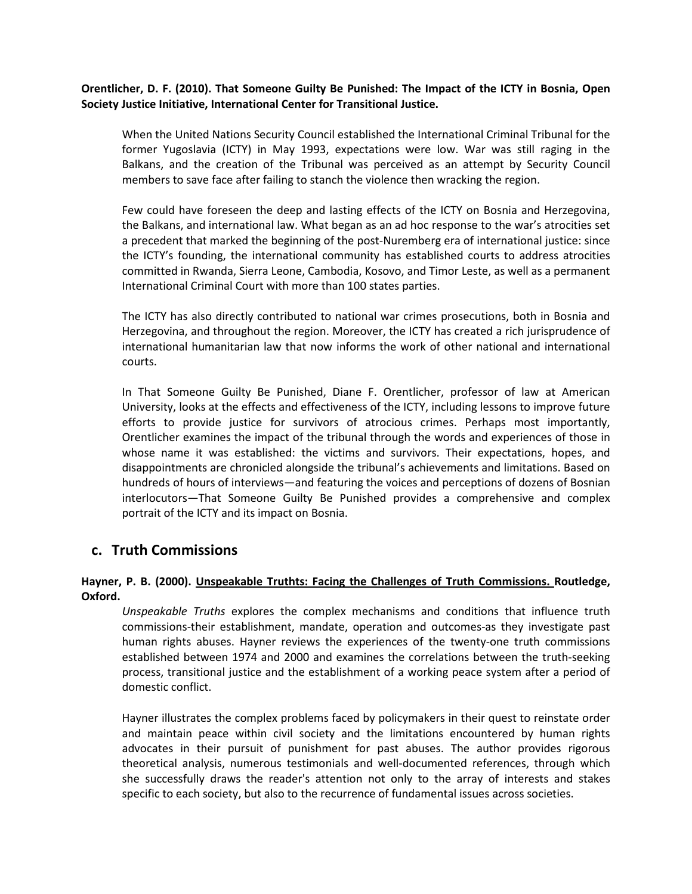#### **Orentlicher, D. F. (2010). That Someone Guilty Be Punished: The Impact of the ICTY in Bosnia, Open Society Justice Initiative, International Center for Transitional Justice.**

When the United Nations Security Council established the International Criminal Tribunal for the former Yugoslavia (ICTY) in May 1993, expectations were low. War was still raging in the Balkans, and the creation of the Tribunal was perceived as an attempt by Security Council members to save face after failing to stanch the violence then wracking the region.

Few could have foreseen the deep and lasting effects of the ICTY on Bosnia and Herzegovina, the Balkans, and international law. What began as an ad hoc response to the war's atrocities set a precedent that marked the beginning of the post-Nuremberg era of international justice: since the ICTY's founding, the international community has established courts to address atrocities committed in Rwanda, Sierra Leone, Cambodia, Kosovo, and Timor Leste, as well as a permanent International Criminal Court with more than 100 states parties.

The ICTY has also directly contributed to national war crimes prosecutions, both in Bosnia and Herzegovina, and throughout the region. Moreover, the ICTY has created a rich jurisprudence of international humanitarian law that now informs the work of other national and international courts.

In That Someone Guilty Be Punished, Diane F. Orentlicher, professor of law at American University, looks at the effects and effectiveness of the ICTY, including lessons to improve future efforts to provide justice for survivors of atrocious crimes. Perhaps most importantly, Orentlicher examines the impact of the tribunal through the words and experiences of those in whose name it was established: the victims and survivors. Their expectations, hopes, and disappointments are chronicled alongside the tribunal's achievements and limitations. Based on hundreds of hours of interviews—and featuring the voices and perceptions of dozens of Bosnian interlocutors—That Someone Guilty Be Punished provides a comprehensive and complex portrait of the ICTY and its impact on Bosnia.

## **c. Truth Commissions**

#### **Hayner, P. B. (2000). Unspeakable Truthts: Facing the Challenges of Truth Commissions. Routledge, Oxford.**

*Unspeakable Truths* explores the complex mechanisms and conditions that influence truth commissions-their establishment, mandate, operation and outcomes-as they investigate past human rights abuses. Hayner reviews the experiences of the twenty-one truth commissions established between 1974 and 2000 and examines the correlations between the truth-seeking process, transitional justice and the establishment of a working peace system after a period of domestic conflict.

Hayner illustrates the complex problems faced by policymakers in their quest to reinstate order and maintain peace within civil society and the limitations encountered by human rights advocates in their pursuit of punishment for past abuses. The author provides rigorous theoretical analysis, numerous testimonials and well-documented references, through which she successfully draws the reader's attention not only to the array of interests and stakes specific to each society, but also to the recurrence of fundamental issues across societies.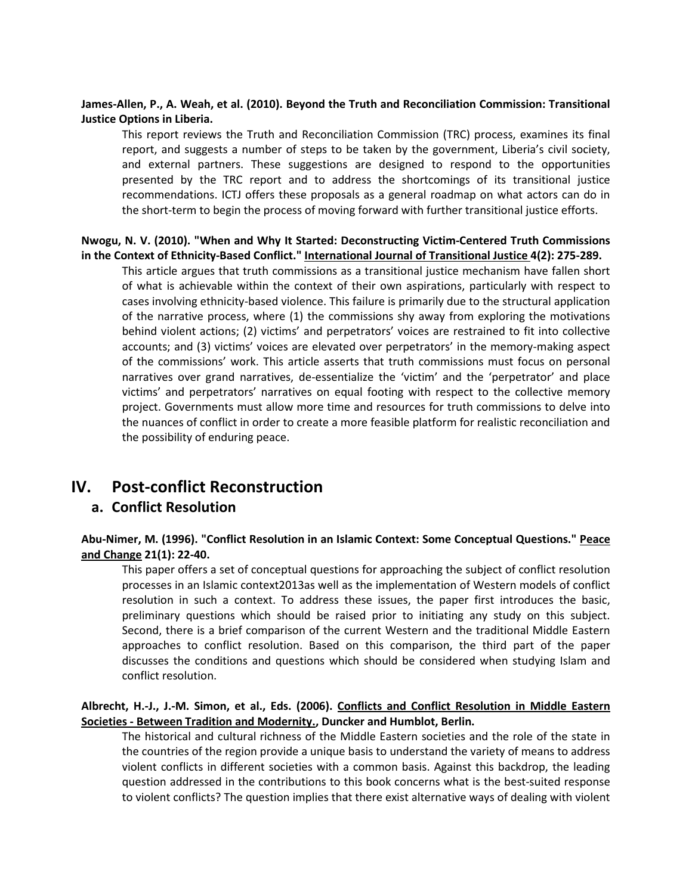#### **James-Allen, P., A. Weah, et al. (2010). Beyond the Truth and Reconciliation Commission: Transitional Justice Options in Liberia.**

This report reviews the Truth and Reconciliation Commission (TRC) process, examines its final report, and suggests a number of steps to be taken by the government, Liberia's civil society, and external partners. These suggestions are designed to respond to the opportunities presented by the TRC report and to address the shortcomings of its transitional justice recommendations. ICTJ offers these proposals as a general roadmap on what actors can do in the short-term to begin the process of moving forward with further transitional justice efforts.

#### **Nwogu, N. V. (2010). "When and Why It Started: Deconstructing Victim-Centered Truth Commissions in the Context of Ethnicity-Based Conflict." International Journal of Transitional Justice 4(2): 275-289.**

This article argues that truth commissions as a transitional justice mechanism have fallen short of what is achievable within the context of their own aspirations, particularly with respect to cases involving ethnicity-based violence. This failure is primarily due to the structural application of the narrative process, where (1) the commissions shy away from exploring the motivations behind violent actions; (2) victims' and perpetrators' voices are restrained to fit into collective accounts; and (3) victims' voices are elevated over perpetrators' in the memory-making aspect of the commissions' work. This article asserts that truth commissions must focus on personal narratives over grand narratives, de-essentialize the 'victim' and the 'perpetrator' and place victims' and perpetrators' narratives on equal footing with respect to the collective memory project. Governments must allow more time and resources for truth commissions to delve into the nuances of conflict in order to create a more feasible platform for realistic reconciliation and the possibility of enduring peace.

## **IV. Post-conflict Reconstruction**

## **a. Conflict Resolution**

#### **Abu-Nimer, M. (1996). "Conflict Resolution in an Islamic Context: Some Conceptual Questions." Peace and Change 21(1): 22-40.**

This paper offers a set of conceptual questions for approaching the subject of conflict resolution processes in an Islamic context2013as well as the implementation of Western models of conflict resolution in such a context. To address these issues, the paper first introduces the basic, preliminary questions which should be raised prior to initiating any study on this subject. Second, there is a brief comparison of the current Western and the traditional Middle Eastern approaches to conflict resolution. Based on this comparison, the third part of the paper discusses the conditions and questions which should be considered when studying Islam and conflict resolution.

#### **Albrecht, H.-J., J.-M. Simon, et al., Eds. (2006). Conflicts and Conflict Resolution in Middle Eastern Societies - Between Tradition and Modernity., Duncker and Humblot, Berlin.**

The historical and cultural richness of the Middle Eastern societies and the role of the state in the countries of the region provide a unique basis to understand the variety of means to address violent conflicts in different societies with a common basis. Against this backdrop, the leading question addressed in the contributions to this book concerns what is the best-suited response to violent conflicts? The question implies that there exist alternative ways of dealing with violent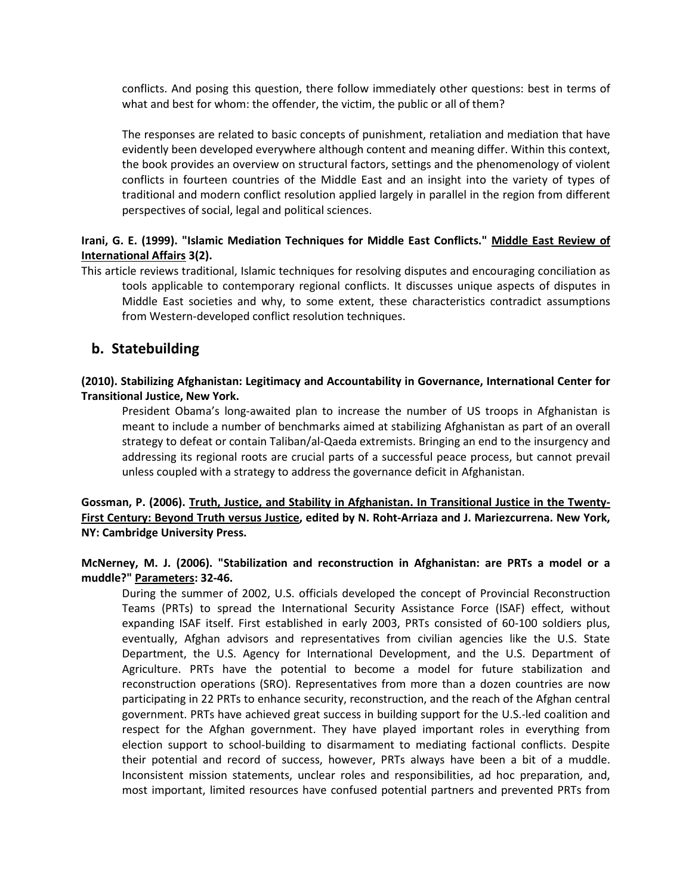conflicts. And posing this question, there follow immediately other questions: best in terms of what and best for whom: the offender, the victim, the public or all of them?

The responses are related to basic concepts of punishment, retaliation and mediation that have evidently been developed everywhere although content and meaning differ. Within this context, the book provides an overview on structural factors, settings and the phenomenology of violent conflicts in fourteen countries of the Middle East and an insight into the variety of types of traditional and modern conflict resolution applied largely in parallel in the region from different perspectives of social, legal and political sciences.

#### **Irani, G. E. (1999). "Islamic Mediation Techniques for Middle East Conflicts." Middle East Review of International Affairs 3(2).**

This article reviews traditional, Islamic techniques for resolving disputes and encouraging conciliation as tools applicable to contemporary regional conflicts. It discusses unique aspects of disputes in Middle East societies and why, to some extent, these characteristics contradict assumptions from Western-developed conflict resolution techniques.

## **b. Statebuilding**

#### **(2010). Stabilizing Afghanistan: Legitimacy and Accountability in Governance, International Center for Transitional Justice, New York.**

President Obama's long-awaited plan to increase the number of US troops in Afghanistan is meant to include a number of benchmarks aimed at stabilizing Afghanistan as part of an overall strategy to defeat or contain Taliban/al-Qaeda extremists. Bringing an end to the insurgency and addressing its regional roots are crucial parts of a successful peace process, but cannot prevail unless coupled with a strategy to address the governance deficit in Afghanistan.

#### **Gossman, P. (2006). Truth, Justice, and Stability in Afghanistan. In Transitional Justice in the Twenty-First Century: Beyond Truth versus Justice, edited by N. Roht-Arriaza and J. Mariezcurrena. New York, NY: Cambridge University Press.**

#### **McNerney, M. J. (2006). "Stabilization and reconstruction in Afghanistan: are PRTs a model or a muddle?" Parameters: 32-46.**

During the summer of 2002, U.S. officials developed the concept of Provincial Reconstruction Teams (PRTs) to spread the International Security Assistance Force (ISAF) effect, without expanding ISAF itself. First established in early 2003, PRTs consisted of 60-100 soldiers plus, eventually, Afghan advisors and representatives from civilian agencies like the U.S. State Department, the U.S. Agency for International Development, and the U.S. Department of Agriculture. PRTs have the potential to become a model for future stabilization and reconstruction operations (SRO). Representatives from more than a dozen countries are now participating in 22 PRTs to enhance security, reconstruction, and the reach of the Afghan central government. PRTs have achieved great success in building support for the U.S.-led coalition and respect for the Afghan government. They have played important roles in everything from election support to school-building to disarmament to mediating factional conflicts. Despite their potential and record of success, however, PRTs always have been a bit of a muddle. Inconsistent mission statements, unclear roles and responsibilities, ad hoc preparation, and, most important, limited resources have confused potential partners and prevented PRTs from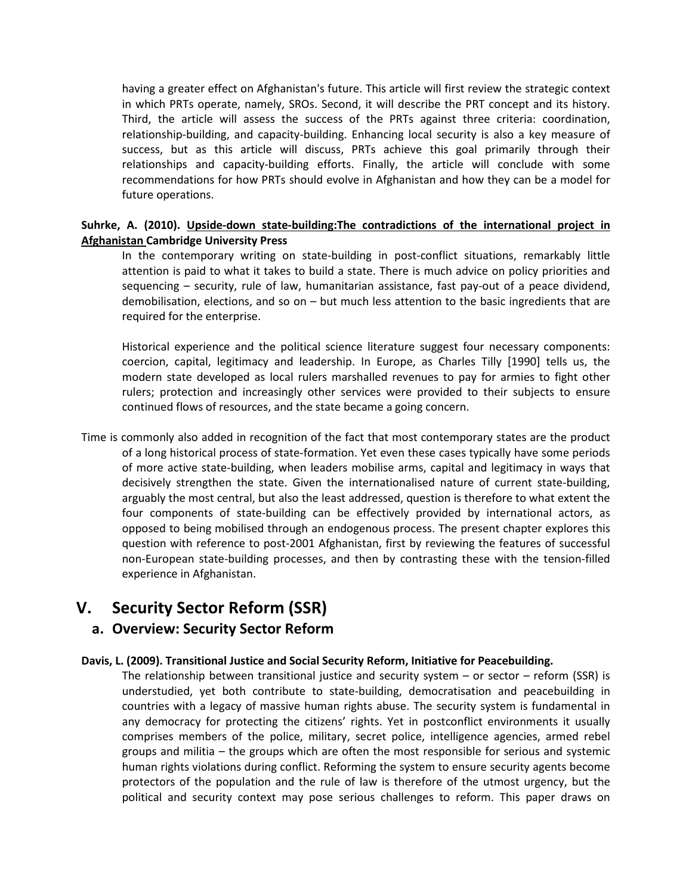having a greater effect on Afghanistan's future. This article will first review the strategic context in which PRTs operate, namely, SROs. Second, it will describe the PRT concept and its history. Third, the article will assess the success of the PRTs against three criteria: coordination, relationship-building, and capacity-building. Enhancing local security is also a key measure of success, but as this article will discuss, PRTs achieve this goal primarily through their relationships and capacity-building efforts. Finally, the article will conclude with some recommendations for how PRTs should evolve in Afghanistan and how they can be a model for future operations.

#### **Suhrke, A. (2010). Upside-down state-building:The contradictions of the international project in Afghanistan Cambridge University Press**

In the contemporary writing on state-building in post-conflict situations, remarkably little attention is paid to what it takes to build a state. There is much advice on policy priorities and sequencing – security, rule of law, humanitarian assistance, fast pay-out of a peace dividend, demobilisation, elections, and so on – but much less attention to the basic ingredients that are required for the enterprise.

Historical experience and the political science literature suggest four necessary components: coercion, capital, legitimacy and leadership. In Europe, as Charles Tilly [1990] tells us, the modern state developed as local rulers marshalled revenues to pay for armies to fight other rulers; protection and increasingly other services were provided to their subjects to ensure continued flows of resources, and the state became a going concern.

Time is commonly also added in recognition of the fact that most contemporary states are the product of a long historical process of state-formation. Yet even these cases typically have some periods of more active state-building, when leaders mobilise arms, capital and legitimacy in ways that decisively strengthen the state. Given the internationalised nature of current state-building, arguably the most central, but also the least addressed, question is therefore to what extent the four components of state-building can be effectively provided by international actors, as opposed to being mobilised through an endogenous process. The present chapter explores this question with reference to post-2001 Afghanistan, first by reviewing the features of successful non-European state-building processes, and then by contrasting these with the tension-filled experience in Afghanistan.

## **V. Security Sector Reform (SSR)**

## **a. Overview: Security Sector Reform**

#### **Davis, L. (2009). Transitional Justice and Social Security Reform, Initiative for Peacebuilding.**

The relationship between transitional justice and security system – or sector – reform (SSR) is understudied, yet both contribute to state-building, democratisation and peacebuilding in countries with a legacy of massive human rights abuse. The security system is fundamental in any democracy for protecting the citizens' rights. Yet in postconflict environments it usually comprises members of the police, military, secret police, intelligence agencies, armed rebel groups and militia – the groups which are often the most responsible for serious and systemic human rights violations during conflict. Reforming the system to ensure security agents become protectors of the population and the rule of law is therefore of the utmost urgency, but the political and security context may pose serious challenges to reform. This paper draws on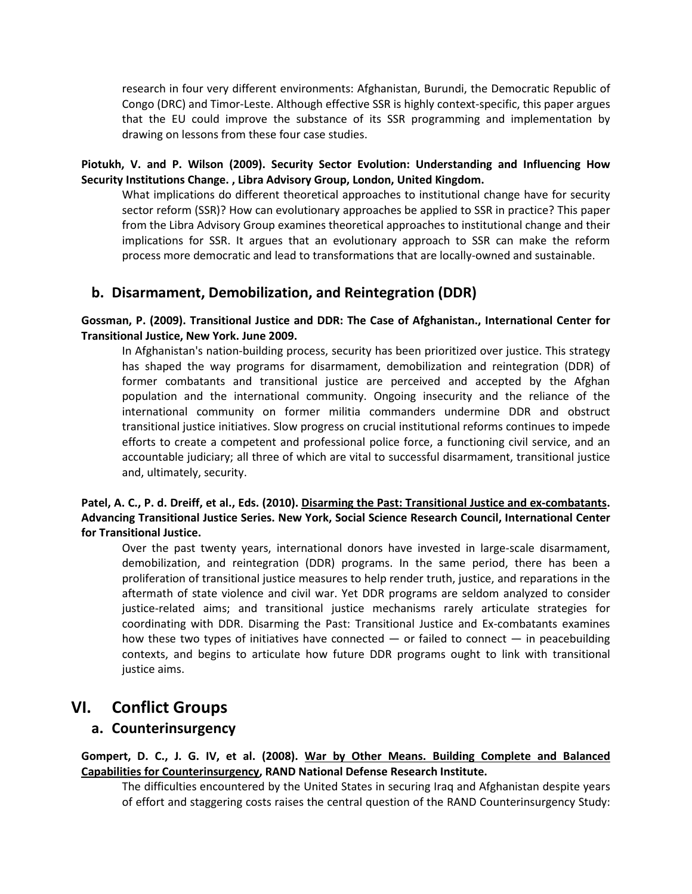research in four very different environments: Afghanistan, Burundi, the Democratic Republic of Congo (DRC) and Timor-Leste. Although effective SSR is highly context-specific, this paper argues that the EU could improve the substance of its SSR programming and implementation by drawing on lessons from these four case studies.

#### **Piotukh, V. and P. Wilson (2009). Security Sector Evolution: Understanding and Influencing How Security Institutions Change. , Libra Advisory Group, London, United Kingdom.**

What implications do different theoretical approaches to institutional change have for security sector reform (SSR)? How can evolutionary approaches be applied to SSR in practice? This paper from the Libra Advisory Group examines theoretical approaches to institutional change and their implications for SSR. It argues that an evolutionary approach to SSR can make the reform process more democratic and lead to transformations that are locally-owned and sustainable.

## **b. Disarmament, Demobilization, and Reintegration (DDR)**

#### **Gossman, P. (2009). Transitional Justice and DDR: The Case of Afghanistan., International Center for Transitional Justice, New York. June 2009.**

In Afghanistan's nation-building process, security has been prioritized over justice. This strategy has shaped the way programs for disarmament, demobilization and reintegration (DDR) of former combatants and transitional justice are perceived and accepted by the Afghan population and the international community. Ongoing insecurity and the reliance of the international community on former militia commanders undermine DDR and obstruct transitional justice initiatives. Slow progress on crucial institutional reforms continues to impede efforts to create a competent and professional police force, a functioning civil service, and an accountable judiciary; all three of which are vital to successful disarmament, transitional justice and, ultimately, security.

#### **Patel, A. C., P. d. Dreiff, et al., Eds. (2010). Disarming the Past: Transitional Justice and ex-combatants. Advancing Transitional Justice Series. New York, Social Science Research Council, International Center for Transitional Justice.**

Over the past twenty years, international donors have invested in large-scale disarmament, demobilization, and reintegration (DDR) programs. In the same period, there has been a proliferation of transitional justice measures to help render truth, justice, and reparations in the aftermath of state violence and civil war. Yet DDR programs are seldom analyzed to consider justice-related aims; and transitional justice mechanisms rarely articulate strategies for coordinating with DDR. Disarming the Past: Transitional Justice and Ex-combatants examines how these two types of initiatives have connected  $-$  or failed to connect  $-$  in peacebuilding contexts, and begins to articulate how future DDR programs ought to link with transitional justice aims.

## **VI. Conflict Groups**

## **a. Counterinsurgency**

**Gompert, D. C., J. G. IV, et al. (2008). War by Other Means. Building Complete and Balanced Capabilities for Counterinsurgency, RAND National Defense Research Institute.**

The difficulties encountered by the United States in securing Iraq and Afghanistan despite years of effort and staggering costs raises the central question of the RAND Counterinsurgency Study: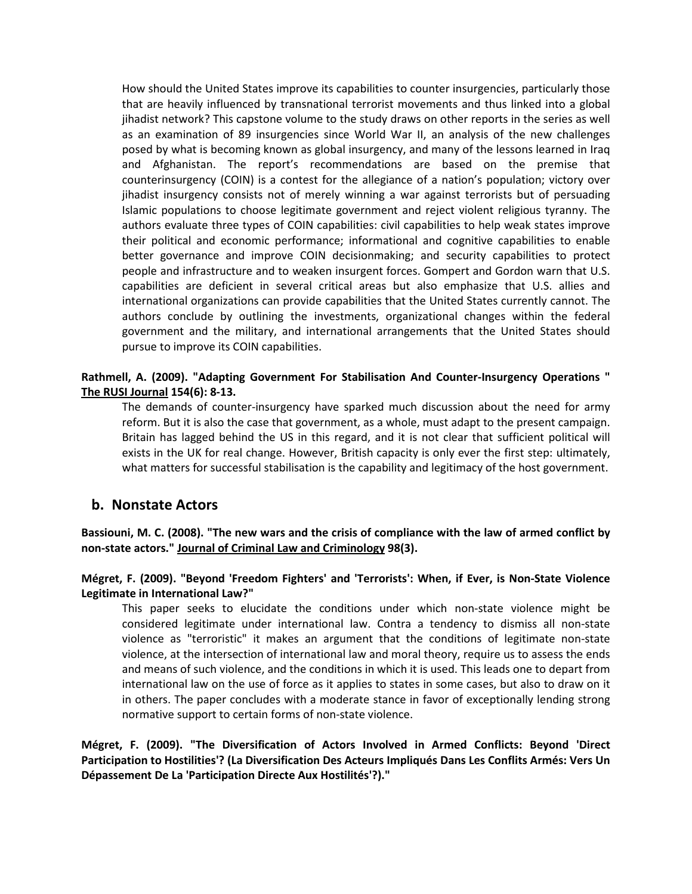How should the United States improve its capabilities to counter insurgencies, particularly those that are heavily influenced by transnational terrorist movements and thus linked into a global jihadist network? This capstone volume to the study draws on other reports in the series as well as an examination of 89 insurgencies since World War II, an analysis of the new challenges posed by what is becoming known as global insurgency, and many of the lessons learned in Iraq and Afghanistan. The report's recommendations are based on the premise that counterinsurgency (COIN) is a contest for the allegiance of a nation's population; victory over jihadist insurgency consists not of merely winning a war against terrorists but of persuading Islamic populations to choose legitimate government and reject violent religious tyranny. The authors evaluate three types of COIN capabilities: civil capabilities to help weak states improve their political and economic performance; informational and cognitive capabilities to enable better governance and improve COIN decisionmaking; and security capabilities to protect people and infrastructure and to weaken insurgent forces. Gompert and Gordon warn that U.S. capabilities are deficient in several critical areas but also emphasize that U.S. allies and international organizations can provide capabilities that the United States currently cannot. The authors conclude by outlining the investments, organizational changes within the federal government and the military, and international arrangements that the United States should pursue to improve its COIN capabilities.

#### **Rathmell, A. (2009). "Adapting Government For Stabilisation And Counter-Insurgency Operations " The RUSI Journal 154(6): 8-13.**

The demands of counter-insurgency have sparked much discussion about the need for army reform. But it is also the case that government, as a whole, must adapt to the present campaign. Britain has lagged behind the US in this regard, and it is not clear that sufficient political will exists in the UK for real change. However, British capacity is only ever the first step: ultimately, what matters for successful stabilisation is the capability and legitimacy of the host government.

## **b. Nonstate Actors**

**Bassiouni, M. C. (2008). "The new wars and the crisis of compliance with the law of armed conflict by non-state actors." Journal of Criminal Law and Criminology 98(3).**

#### **Mégret, F. (2009). "Beyond 'Freedom Fighters' and 'Terrorists': When, if Ever, is Non-State Violence Legitimate in International Law?"**

This paper seeks to elucidate the conditions under which non-state violence might be considered legitimate under international law. Contra a tendency to dismiss all non-state violence as "terroristic" it makes an argument that the conditions of legitimate non-state violence, at the intersection of international law and moral theory, require us to assess the ends and means of such violence, and the conditions in which it is used. This leads one to depart from international law on the use of force as it applies to states in some cases, but also to draw on it in others. The paper concludes with a moderate stance in favor of exceptionally lending strong normative support to certain forms of non-state violence.

**Mégret, F. (2009). "The Diversification of Actors Involved in Armed Conflicts: Beyond 'Direct Participation to Hostilities'? (La Diversification Des Acteurs Impliqués Dans Les Conflits Armés: Vers Un Dépassement De La 'Participation Directe Aux Hostilités'?)."**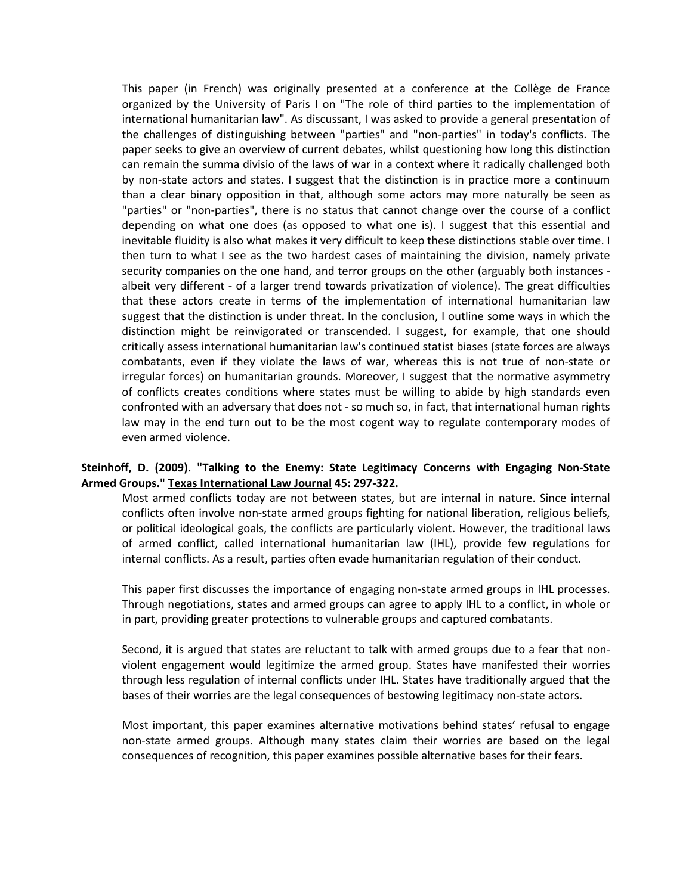This paper (in French) was originally presented at a conference at the Collège de France organized by the University of Paris I on "The role of third parties to the implementation of international humanitarian law". As discussant, I was asked to provide a general presentation of the challenges of distinguishing between "parties" and "non-parties" in today's conflicts. The paper seeks to give an overview of current debates, whilst questioning how long this distinction can remain the summa divisio of the laws of war in a context where it radically challenged both by non-state actors and states. I suggest that the distinction is in practice more a continuum than a clear binary opposition in that, although some actors may more naturally be seen as "parties" or "non-parties", there is no status that cannot change over the course of a conflict depending on what one does (as opposed to what one is). I suggest that this essential and inevitable fluidity is also what makes it very difficult to keep these distinctions stable over time. I then turn to what I see as the two hardest cases of maintaining the division, namely private security companies on the one hand, and terror groups on the other (arguably both instances albeit very different - of a larger trend towards privatization of violence). The great difficulties that these actors create in terms of the implementation of international humanitarian law suggest that the distinction is under threat. In the conclusion, I outline some ways in which the distinction might be reinvigorated or transcended. I suggest, for example, that one should critically assess international humanitarian law's continued statist biases (state forces are always combatants, even if they violate the laws of war, whereas this is not true of non-state or irregular forces) on humanitarian grounds. Moreover, I suggest that the normative asymmetry of conflicts creates conditions where states must be willing to abide by high standards even confronted with an adversary that does not - so much so, in fact, that international human rights law may in the end turn out to be the most cogent way to regulate contemporary modes of even armed violence.

#### **Steinhoff, D. (2009). "Talking to the Enemy: State Legitimacy Concerns with Engaging Non-State Armed Groups." Texas International Law Journal 45: 297-322.**

Most armed conflicts today are not between states, but are internal in nature. Since internal conflicts often involve non-state armed groups fighting for national liberation, religious beliefs, or political ideological goals, the conflicts are particularly violent. However, the traditional laws of armed conflict, called international humanitarian law (IHL), provide few regulations for internal conflicts. As a result, parties often evade humanitarian regulation of their conduct.

This paper first discusses the importance of engaging non-state armed groups in IHL processes. Through negotiations, states and armed groups can agree to apply IHL to a conflict, in whole or in part, providing greater protections to vulnerable groups and captured combatants.

Second, it is argued that states are reluctant to talk with armed groups due to a fear that nonviolent engagement would legitimize the armed group. States have manifested their worries through less regulation of internal conflicts under IHL. States have traditionally argued that the bases of their worries are the legal consequences of bestowing legitimacy non-state actors.

Most important, this paper examines alternative motivations behind states' refusal to engage non-state armed groups. Although many states claim their worries are based on the legal consequences of recognition, this paper examines possible alternative bases for their fears.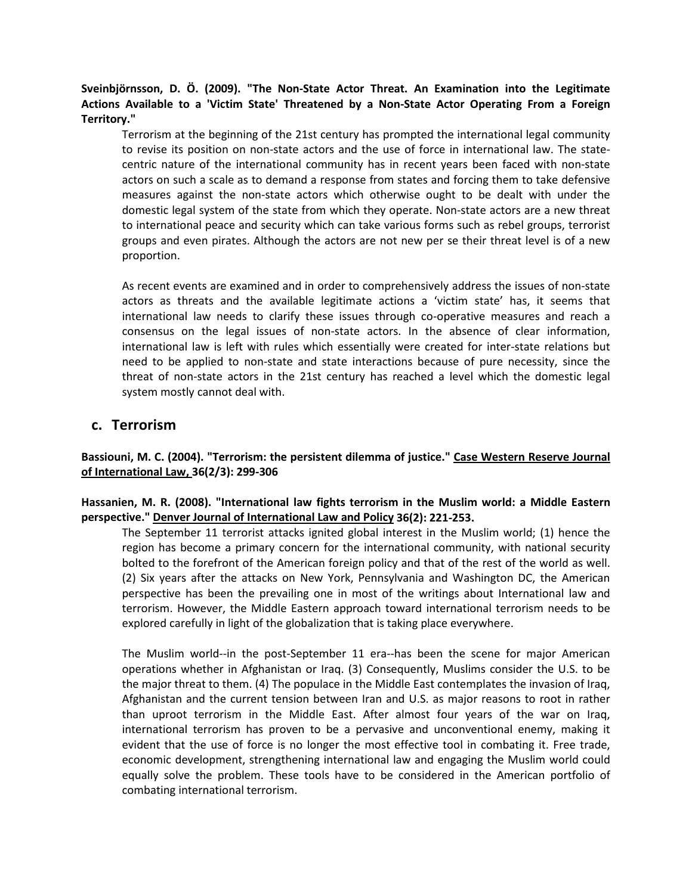#### **Sveinbjörnsson, D. Ö. (2009). "The Non-State Actor Threat. An Examination into the Legitimate Actions Available to a 'Victim State' Threatened by a Non-State Actor Operating From a Foreign Territory."**

Terrorism at the beginning of the 21st century has prompted the international legal community to revise its position on non-state actors and the use of force in international law. The statecentric nature of the international community has in recent years been faced with non-state actors on such a scale as to demand a response from states and forcing them to take defensive measures against the non-state actors which otherwise ought to be dealt with under the domestic legal system of the state from which they operate. Non-state actors are a new threat to international peace and security which can take various forms such as rebel groups, terrorist groups and even pirates. Although the actors are not new per se their threat level is of a new proportion.

As recent events are examined and in order to comprehensively address the issues of non-state actors as threats and the available legitimate actions a 'victim state' has, it seems that international law needs to clarify these issues through co-operative measures and reach a consensus on the legal issues of non-state actors. In the absence of clear information, international law is left with rules which essentially were created for inter-state relations but need to be applied to non-state and state interactions because of pure necessity, since the threat of non-state actors in the 21st century has reached a level which the domestic legal system mostly cannot deal with.

#### **c. Terrorism**

**Bassiouni, M. C. (2004). "Terrorism: the persistent dilemma of justice." Case Western Reserve Journal of International Law, 36(2/3): 299-306**

**Hassanien, M. R. (2008). "International law fights terrorism in the Muslim world: a Middle Eastern perspective." Denver Journal of International Law and Policy 36(2): 221-253.**

The September 11 terrorist attacks ignited global interest in the Muslim world; (1) hence the region has become a primary concern for the international community, with national security bolted to the forefront of the American foreign policy and that of the rest of the world as well. (2) Six years after the attacks on New York, Pennsylvania and Washington DC, the American perspective has been the prevailing one in most of the writings about International law and terrorism. However, the Middle Eastern approach toward international terrorism needs to be explored carefully in light of the globalization that is taking place everywhere.

The Muslim world--in the post-September 11 era--has been the scene for major American operations whether in Afghanistan or Iraq. (3) Consequently, Muslims consider the U.S. to be the major threat to them. (4) The populace in the Middle East contemplates the invasion of Iraq, Afghanistan and the current tension between Iran and U.S. as major reasons to root in rather than uproot terrorism in the Middle East. After almost four years of the war on Iraq, international terrorism has proven to be a pervasive and unconventional enemy, making it evident that the use of force is no longer the most effective tool in combating it. Free trade, economic development, strengthening international law and engaging the Muslim world could equally solve the problem. These tools have to be considered in the American portfolio of combating international terrorism.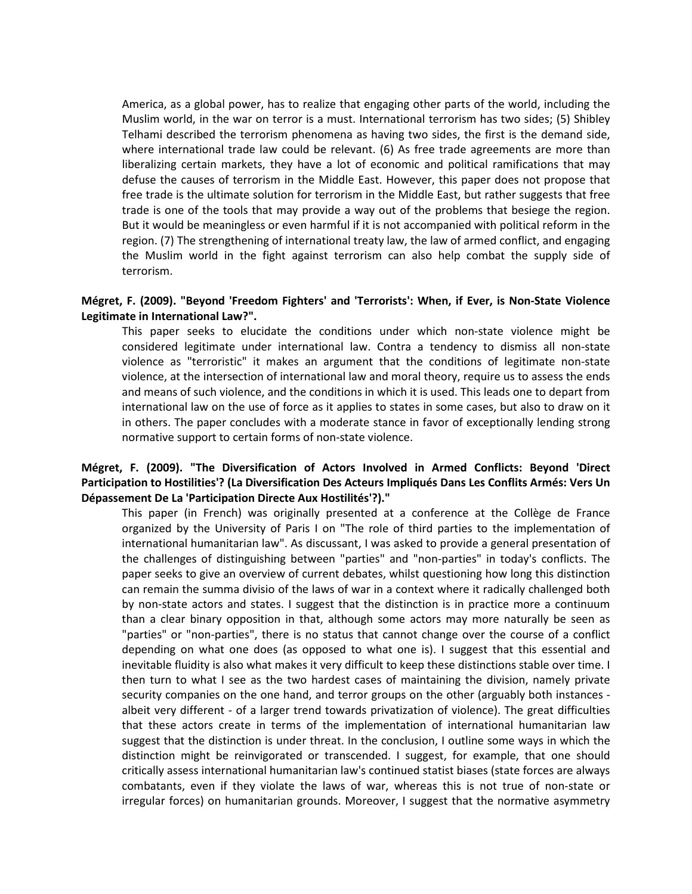America, as a global power, has to realize that engaging other parts of the world, including the Muslim world, in the war on terror is a must. International terrorism has two sides; (5) Shibley Telhami described the terrorism phenomena as having two sides, the first is the demand side, where international trade law could be relevant. (6) As free trade agreements are more than liberalizing certain markets, they have a lot of economic and political ramifications that may defuse the causes of terrorism in the Middle East. However, this paper does not propose that free trade is the ultimate solution for terrorism in the Middle East, but rather suggests that free trade is one of the tools that may provide a way out of the problems that besiege the region. But it would be meaningless or even harmful if it is not accompanied with political reform in the region. (7) The strengthening of international treaty law, the law of armed conflict, and engaging the Muslim world in the fight against terrorism can also help combat the supply side of terrorism.

#### **Mégret, F. (2009). "Beyond 'Freedom Fighters' and 'Terrorists': When, if Ever, is Non-State Violence Legitimate in International Law?".**

This paper seeks to elucidate the conditions under which non-state violence might be considered legitimate under international law. Contra a tendency to dismiss all non-state violence as "terroristic" it makes an argument that the conditions of legitimate non-state violence, at the intersection of international law and moral theory, require us to assess the ends and means of such violence, and the conditions in which it is used. This leads one to depart from international law on the use of force as it applies to states in some cases, but also to draw on it in others. The paper concludes with a moderate stance in favor of exceptionally lending strong normative support to certain forms of non-state violence.

#### **Mégret, F. (2009). "The Diversification of Actors Involved in Armed Conflicts: Beyond 'Direct Participation to Hostilities'? (La Diversification Des Acteurs Impliqués Dans Les Conflits Armés: Vers Un Dépassement De La 'Participation Directe Aux Hostilités'?)."**

This paper (in French) was originally presented at a conference at the Collège de France organized by the University of Paris I on "The role of third parties to the implementation of international humanitarian law". As discussant, I was asked to provide a general presentation of the challenges of distinguishing between "parties" and "non-parties" in today's conflicts. The paper seeks to give an overview of current debates, whilst questioning how long this distinction can remain the summa divisio of the laws of war in a context where it radically challenged both by non-state actors and states. I suggest that the distinction is in practice more a continuum than a clear binary opposition in that, although some actors may more naturally be seen as "parties" or "non-parties", there is no status that cannot change over the course of a conflict depending on what one does (as opposed to what one is). I suggest that this essential and inevitable fluidity is also what makes it very difficult to keep these distinctions stable over time. I then turn to what I see as the two hardest cases of maintaining the division, namely private security companies on the one hand, and terror groups on the other (arguably both instances albeit very different - of a larger trend towards privatization of violence). The great difficulties that these actors create in terms of the implementation of international humanitarian law suggest that the distinction is under threat. In the conclusion, I outline some ways in which the distinction might be reinvigorated or transcended. I suggest, for example, that one should critically assess international humanitarian law's continued statist biases (state forces are always combatants, even if they violate the laws of war, whereas this is not true of non-state or irregular forces) on humanitarian grounds. Moreover, I suggest that the normative asymmetry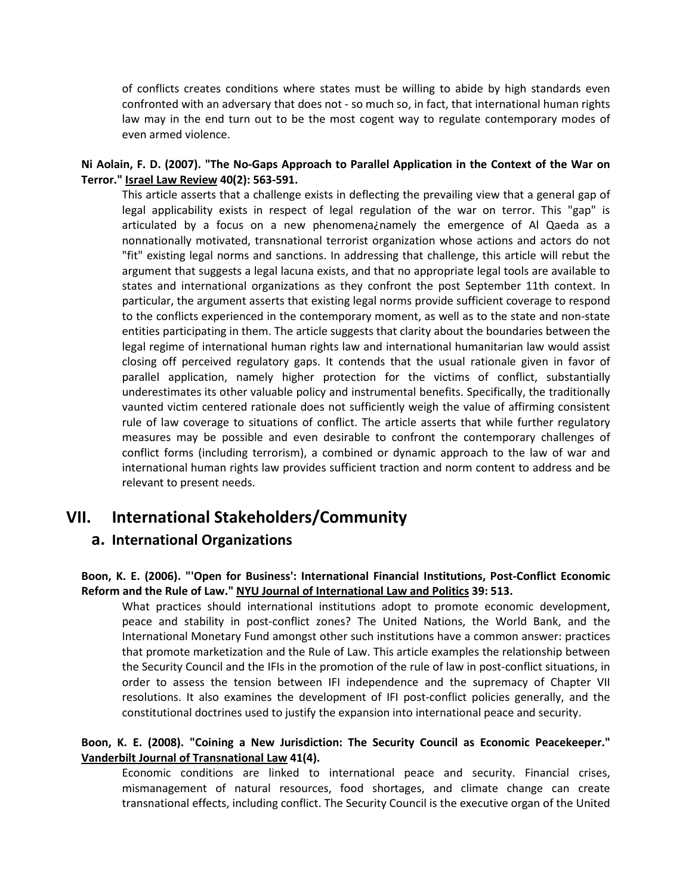of conflicts creates conditions where states must be willing to abide by high standards even confronted with an adversary that does not - so much so, in fact, that international human rights law may in the end turn out to be the most cogent way to regulate contemporary modes of even armed violence.

**Ni Aolain, F. D. (2007). "The No-Gaps Approach to Parallel Application in the Context of the War on Terror." Israel Law Review 40(2): 563-591.**

This article asserts that a challenge exists in deflecting the prevailing view that a general gap of legal applicability exists in respect of legal regulation of the war on terror. This "gap" is articulated by a focus on a new phenomena¿namely the emergence of Al Qaeda as a nonnationally motivated, transnational terrorist organization whose actions and actors do not "fit" existing legal norms and sanctions. In addressing that challenge, this article will rebut the argument that suggests a legal lacuna exists, and that no appropriate legal tools are available to states and international organizations as they confront the post September 11th context. In particular, the argument asserts that existing legal norms provide sufficient coverage to respond to the conflicts experienced in the contemporary moment, as well as to the state and non-state entities participating in them. The article suggests that clarity about the boundaries between the legal regime of international human rights law and international humanitarian law would assist closing off perceived regulatory gaps. It contends that the usual rationale given in favor of parallel application, namely higher protection for the victims of conflict, substantially underestimates its other valuable policy and instrumental benefits. Specifically, the traditionally vaunted victim centered rationale does not sufficiently weigh the value of affirming consistent rule of law coverage to situations of conflict. The article asserts that while further regulatory measures may be possible and even desirable to confront the contemporary challenges of conflict forms (including terrorism), a combined or dynamic approach to the law of war and international human rights law provides sufficient traction and norm content to address and be relevant to present needs.

## **VII. International Stakeholders/Community**

#### **a. International Organizations**

#### **Boon, K. E. (2006). "'Open for Business': International Financial Institutions, Post-Conflict Economic Reform and the Rule of Law." NYU Journal of International Law and Politics 39: 513.**

What practices should international institutions adopt to promote economic development, peace and stability in post-conflict zones? The United Nations, the World Bank, and the International Monetary Fund amongst other such institutions have a common answer: practices that promote marketization and the Rule of Law. This article examples the relationship between the Security Council and the IFIs in the promotion of the rule of law in post-conflict situations, in order to assess the tension between IFI independence and the supremacy of Chapter VII resolutions. It also examines the development of IFI post-conflict policies generally, and the constitutional doctrines used to justify the expansion into international peace and security.

#### **Boon, K. E. (2008). "Coining a New Jurisdiction: The Security Council as Economic Peacekeeper." Vanderbilt Journal of Transnational Law 41(4).**

Economic conditions are linked to international peace and security. Financial crises, mismanagement of natural resources, food shortages, and climate change can create transnational effects, including conflict. The Security Council is the executive organ of the United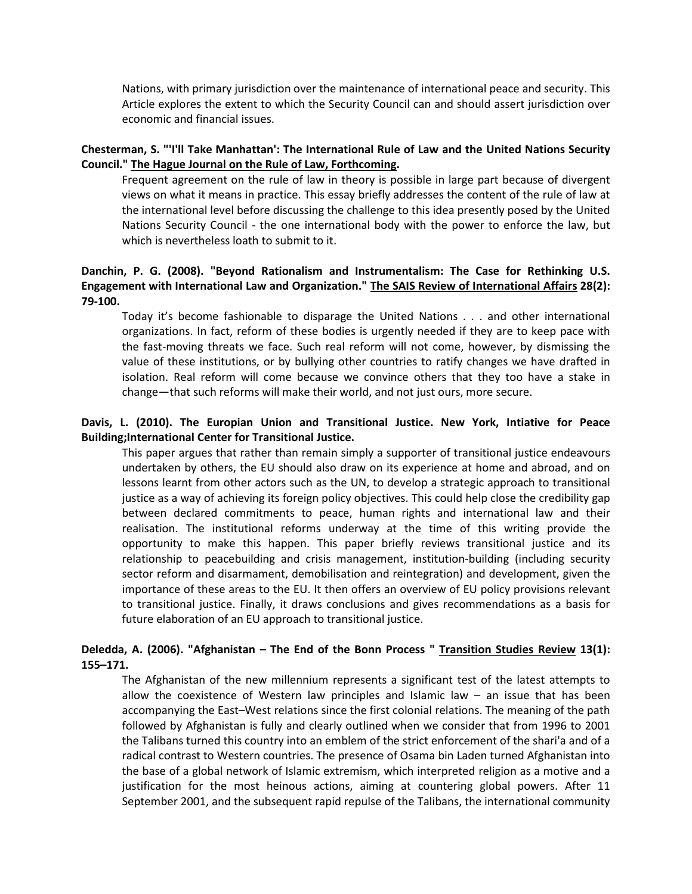Nations, with primary jurisdiction over the maintenance of international peace and security. This Article explores the extent to which the Security Council can and should assert jurisdiction over economic and financial issues.

#### **Chesterman, S. "'I'll Take Manhattan': The International Rule of Law and the United Nations Security Council." The Hague Journal on the Rule of Law, Forthcoming.**

Frequent agreement on the rule of law in theory is possible in large part because of divergent views on what it means in practice. This essay briefly addresses the content of the rule of law at the international level before discussing the challenge to this idea presently posed by the United Nations Security Council - the one international body with the power to enforce the law, but which is nevertheless loath to submit to it.

#### **Danchin, P. G. (2008). "Beyond Rationalism and Instrumentalism: The Case for Rethinking U.S. Engagement with International Law and Organization." The SAIS Review of International Affairs 28(2): 79-100.**

Today it's become fashionable to disparage the United Nations . . . and other international organizations. In fact, reform of these bodies is urgently needed if they are to keep pace with the fast-moving threats we face. Such real reform will not come, however, by dismissing the value of these institutions, or by bullying other countries to ratify changes we have drafted in isolation. Real reform will come because we convince others that they too have a stake in change—that such reforms will make their world, and not just ours, more secure.

#### **Davis, L. (2010). The Europian Union and Transitional Justice. New York, Intiative for Peace Building;International Center for Transitional Justice.**

This paper argues that rather than remain simply a supporter of transitional justice endeavours undertaken by others, the EU should also draw on its experience at home and abroad, and on lessons learnt from other actors such as the UN, to develop a strategic approach to transitional justice as a way of achieving its foreign policy objectives. This could help close the credibility gap between declared commitments to peace, human rights and international law and their realisation. The institutional reforms underway at the time of this writing provide the opportunity to make this happen. This paper briefly reviews transitional justice and its relationship to peacebuilding and crisis management, institution-building (including security sector reform and disarmament, demobilisation and reintegration) and development, given the importance of these areas to the EU. It then offers an overview of EU policy provisions relevant to transitional justice. Finally, it draws conclusions and gives recommendations as a basis for future elaboration of an EU approach to transitional justice.

#### **Deledda, A. (2006). "Afghanistan – The End of the Bonn Process " Transition Studies Review 13(1): 155–171.**

The Afghanistan of the new millennium represents a significant test of the latest attempts to allow the coexistence of Western law principles and Islamic law  $-$  an issue that has been accompanying the East–West relations since the first colonial relations. The meaning of the path followed by Afghanistan is fully and clearly outlined when we consider that from 1996 to 2001 the Talibans turned this country into an emblem of the strict enforcement of the shari'a and of a radical contrast to Western countries. The presence of Osama bin Laden turned Afghanistan into the base of a global network of Islamic extremism, which interpreted religion as a motive and a justification for the most heinous actions, aiming at countering global powers. After 11 September 2001, and the subsequent rapid repulse of the Talibans, the international community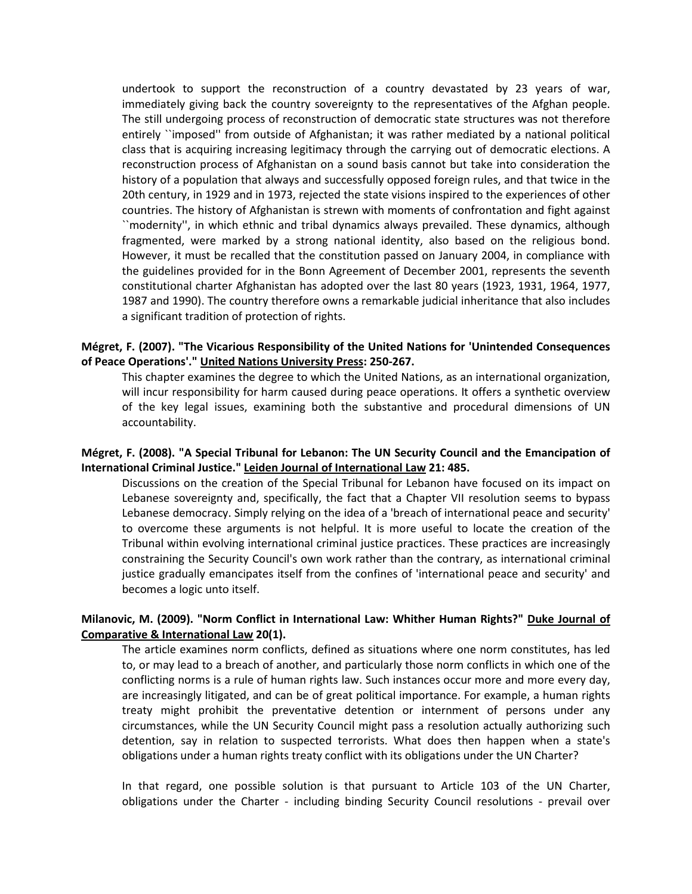undertook to support the reconstruction of a country devastated by 23 years of war, immediately giving back the country sovereignty to the representatives of the Afghan people. The still undergoing process of reconstruction of democratic state structures was not therefore entirely ``imposed'' from outside of Afghanistan; it was rather mediated by a national political class that is acquiring increasing legitimacy through the carrying out of democratic elections. A reconstruction process of Afghanistan on a sound basis cannot but take into consideration the history of a population that always and successfully opposed foreign rules, and that twice in the 20th century, in 1929 and in 1973, rejected the state visions inspired to the experiences of other countries. The history of Afghanistan is strewn with moments of confrontation and fight against ``modernity'', in which ethnic and tribal dynamics always prevailed. These dynamics, although fragmented, were marked by a strong national identity, also based on the religious bond. However, it must be recalled that the constitution passed on January 2004, in compliance with the guidelines provided for in the Bonn Agreement of December 2001, represents the seventh constitutional charter Afghanistan has adopted over the last 80 years (1923, 1931, 1964, 1977, 1987 and 1990). The country therefore owns a remarkable judicial inheritance that also includes a significant tradition of protection of rights.

#### **Mégret, F. (2007). "The Vicarious Responsibility of the United Nations for 'Unintended Consequences of Peace Operations'." United Nations University Press: 250-267.**

This chapter examines the degree to which the United Nations, as an international organization, will incur responsibility for harm caused during peace operations. It offers a synthetic overview of the key legal issues, examining both the substantive and procedural dimensions of UN accountability.

#### **Mégret, F. (2008). "A Special Tribunal for Lebanon: The UN Security Council and the Emancipation of International Criminal Justice." Leiden Journal of International Law 21: 485.**

Discussions on the creation of the Special Tribunal for Lebanon have focused on its impact on Lebanese sovereignty and, specifically, the fact that a Chapter VII resolution seems to bypass Lebanese democracy. Simply relying on the idea of a 'breach of international peace and security' to overcome these arguments is not helpful. It is more useful to locate the creation of the Tribunal within evolving international criminal justice practices. These practices are increasingly constraining the Security Council's own work rather than the contrary, as international criminal justice gradually emancipates itself from the confines of 'international peace and security' and becomes a logic unto itself.

#### Milanovic, M. (2009). "Norm Conflict in International Law: Whither Human Rights?" Duke Journal of **Comparative & International Law 20(1).**

The article examines norm conflicts, defined as situations where one norm constitutes, has led to, or may lead to a breach of another, and particularly those norm conflicts in which one of the conflicting norms is a rule of human rights law. Such instances occur more and more every day, are increasingly litigated, and can be of great political importance. For example, a human rights treaty might prohibit the preventative detention or internment of persons under any circumstances, while the UN Security Council might pass a resolution actually authorizing such detention, say in relation to suspected terrorists. What does then happen when a state's obligations under a human rights treaty conflict with its obligations under the UN Charter?

In that regard, one possible solution is that pursuant to Article 103 of the UN Charter, obligations under the Charter - including binding Security Council resolutions - prevail over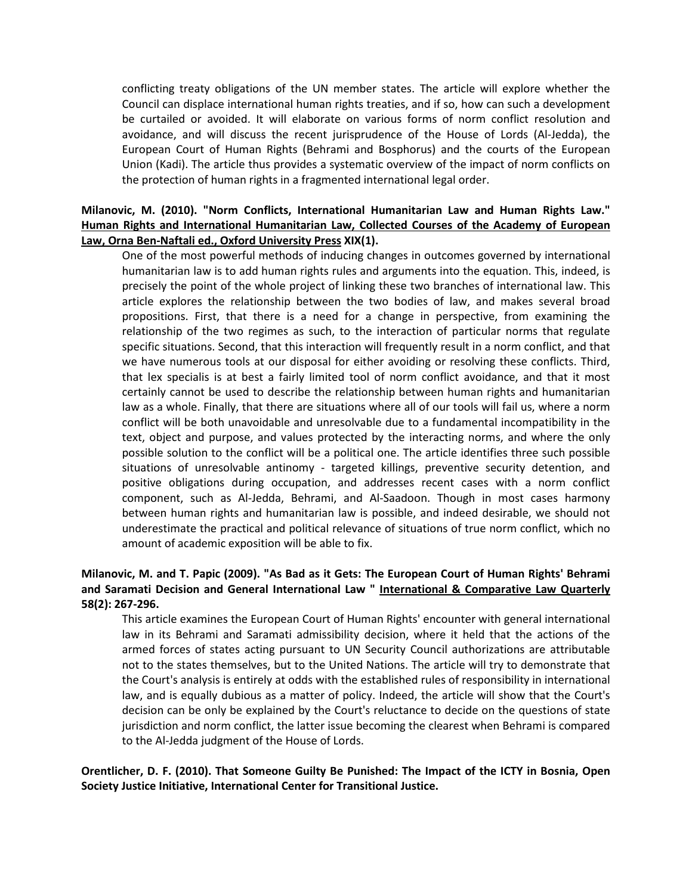conflicting treaty obligations of the UN member states. The article will explore whether the Council can displace international human rights treaties, and if so, how can such a development be curtailed or avoided. It will elaborate on various forms of norm conflict resolution and avoidance, and will discuss the recent jurisprudence of the House of Lords (Al-Jedda), the European Court of Human Rights (Behrami and Bosphorus) and the courts of the European Union (Kadi). The article thus provides a systematic overview of the impact of norm conflicts on the protection of human rights in a fragmented international legal order.

#### **Milanovic, M. (2010). "Norm Conflicts, International Humanitarian Law and Human Rights Law." Human Rights and International Humanitarian Law, Collected Courses of the Academy of European Law, Orna Ben-Naftali ed., Oxford University Press XIX(1).**

One of the most powerful methods of inducing changes in outcomes governed by international humanitarian law is to add human rights rules and arguments into the equation. This, indeed, is precisely the point of the whole project of linking these two branches of international law. This article explores the relationship between the two bodies of law, and makes several broad propositions. First, that there is a need for a change in perspective, from examining the relationship of the two regimes as such, to the interaction of particular norms that regulate specific situations. Second, that this interaction will frequently result in a norm conflict, and that we have numerous tools at our disposal for either avoiding or resolving these conflicts. Third, that lex specialis is at best a fairly limited tool of norm conflict avoidance, and that it most certainly cannot be used to describe the relationship between human rights and humanitarian law as a whole. Finally, that there are situations where all of our tools will fail us, where a norm conflict will be both unavoidable and unresolvable due to a fundamental incompatibility in the text, object and purpose, and values protected by the interacting norms, and where the only possible solution to the conflict will be a political one. The article identifies three such possible situations of unresolvable antinomy - targeted killings, preventive security detention, and positive obligations during occupation, and addresses recent cases with a norm conflict component, such as Al-Jedda, Behrami, and Al-Saadoon. Though in most cases harmony between human rights and humanitarian law is possible, and indeed desirable, we should not underestimate the practical and political relevance of situations of true norm conflict, which no amount of academic exposition will be able to fix.

#### **Milanovic, M. and T. Papic (2009). "As Bad as it Gets: The European Court of Human Rights' Behrami and Saramati Decision and General International Law " International & Comparative Law Quarterly 58(2): 267-296.**

This article examines the European Court of Human Rights' encounter with general international law in its Behrami and Saramati admissibility decision, where it held that the actions of the armed forces of states acting pursuant to UN Security Council authorizations are attributable not to the states themselves, but to the United Nations. The article will try to demonstrate that the Court's analysis is entirely at odds with the established rules of responsibility in international law, and is equally dubious as a matter of policy. Indeed, the article will show that the Court's decision can be only be explained by the Court's reluctance to decide on the questions of state jurisdiction and norm conflict, the latter issue becoming the clearest when Behrami is compared to the Al-Jedda judgment of the House of Lords.

#### **Orentlicher, D. F. (2010). That Someone Guilty Be Punished: The Impact of the ICTY in Bosnia, Open Society Justice Initiative, International Center for Transitional Justice.**